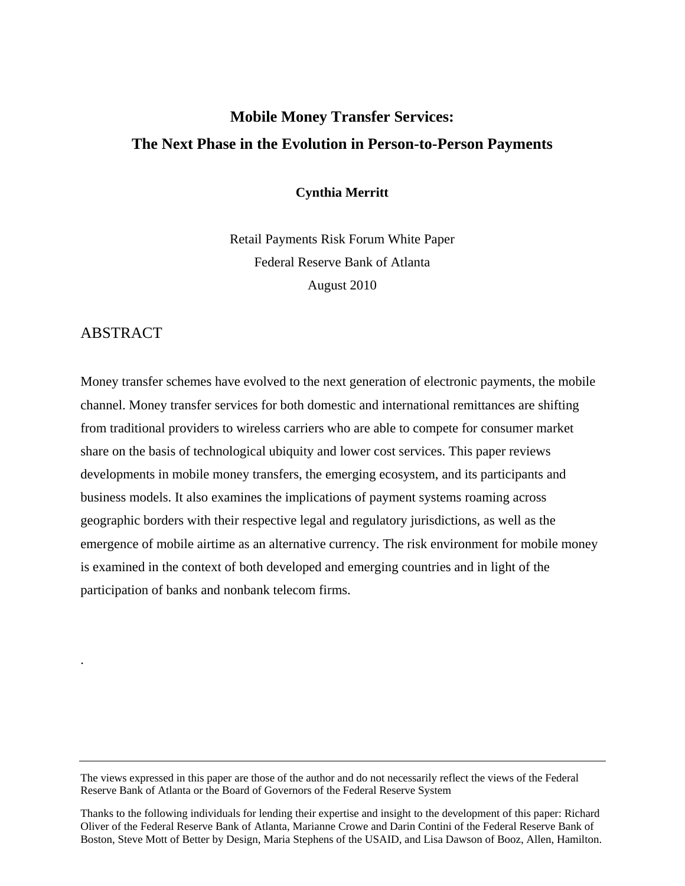# **Mobile Money Transfer Services: The Next Phase in the Evolution in Person-to-Person Payments**

**Cynthia Merritt** 

Retail Payments Risk Forum White Paper Federal Reserve Bank of Atlanta August 2010

## ABSTRACT

.

Money transfer schemes have evolved to the next generation of electronic payments, the mobile channel. Money transfer services for both domestic and international remittances are shifting from traditional providers to wireless carriers who are able to compete for consumer market share on the basis of technological ubiquity and lower cost services. This paper reviews developments in mobile money transfers, the emerging ecosystem, and its participants and business models. It also examines the implications of payment systems roaming across geographic borders with their respective legal and regulatory jurisdictions, as well as the emergence of mobile airtime as an alternative currency. The risk environment for mobile money is examined in the context of both developed and emerging countries and in light of the participation of banks and nonbank telecom firms.

The views expressed in this paper are those of the author and do not necessarily reflect the views of the Federal Reserve Bank of Atlanta or the Board of Governors of the Federal Reserve System

Thanks to the following individuals for lending their expertise and insight to the development of this paper: Richard Oliver of the Federal Reserve Bank of Atlanta, Marianne Crowe and Darin Contini of the Federal Reserve Bank of Boston, Steve Mott of Better by Design, Maria Stephens of the USAID, and Lisa Dawson of Booz, Allen, Hamilton.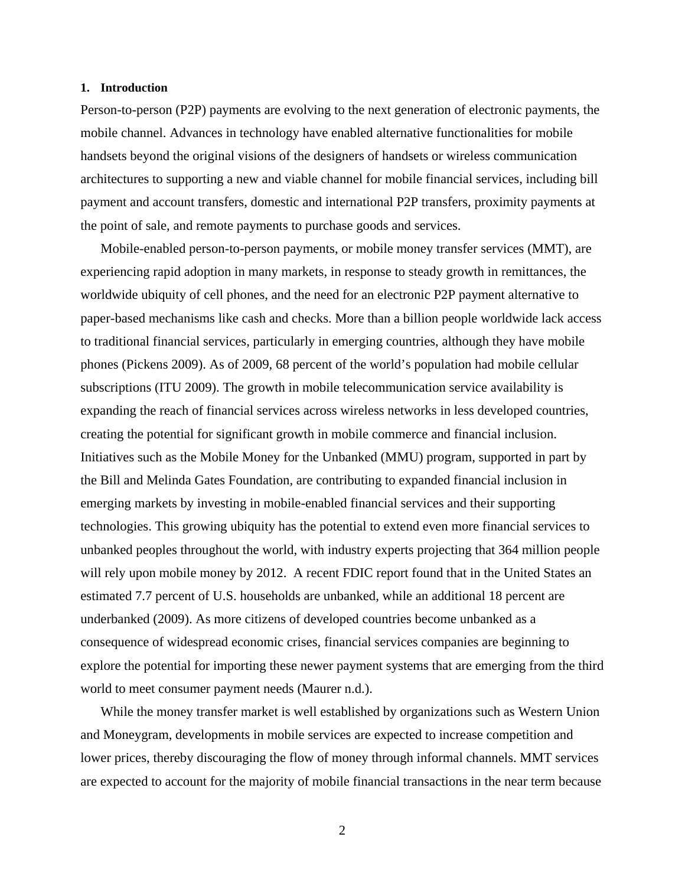### **1. Introduction**

Person-to-person (P2P) payments are evolving to the next generation of electronic payments, the mobile channel. Advances in technology have enabled alternative functionalities for mobile handsets beyond the original visions of the designers of handsets or wireless communication architectures to supporting a new and viable channel for mobile financial services, including bill payment and account transfers, domestic and international P2P transfers, proximity payments at the point of sale, and remote payments to purchase goods and services.

Mobile-enabled person-to-person payments, or mobile money transfer services (MMT), are experiencing rapid adoption in many markets, in response to steady growth in remittances, the worldwide ubiquity of cell phones, and the need for an electronic P2P payment alternative to paper-based mechanisms like cash and checks. More than a billion people worldwide lack access to traditional financial services, particularly in emerging countries, although they have mobile phones (Pickens 2009). As of 2009, 68 percent of the world's population had mobile cellular subscriptions (ITU 2009). The growth in mobile telecommunication service availability is expanding the reach of financial services across wireless networks in less developed countries, creating the potential for significant growth in mobile commerce and financial inclusion. Initiatives such as the Mobile Money for the Unbanked (MMU) program, supported in part by the Bill and Melinda Gates Foundation, are contributing to expanded financial inclusion in emerging markets by investing in mobile-enabled financial services and their supporting technologies. This growing ubiquity has the potential to extend even more financial services to unbanked peoples throughout the world, with industry experts projecting that 364 million people will rely upon mobile money by 2012. A recent FDIC report found that in the United States an estimated 7.7 percent of U.S. households are unbanked, while an additional 18 percent are underbanked (2009). As more citizens of developed countries become unbanked as a consequence of widespread economic crises, financial services companies are beginning to explore the potential for importing these newer payment systems that are emerging from the third world to meet consumer payment needs (Maurer n.d.).

While the money transfer market is well established by organizations such as Western Union and Moneygram, developments in mobile services are expected to increase competition and lower prices, thereby discouraging the flow of money through informal channels. MMT services are expected to account for the majority of mobile financial transactions in the near term because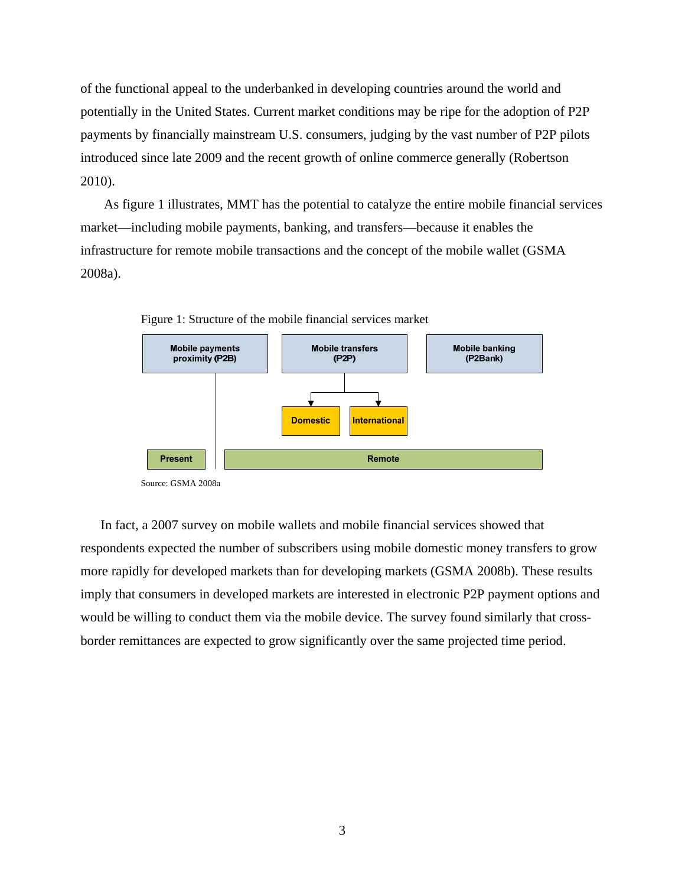of the functional appeal to the underbanked in developing countries around the world and potentially in the United States. Current market conditions may be ripe for the adoption of P2P payments by financially mainstream U.S. consumers, judging by the vast number of P2P pilots introduced since late 2009 and the recent growth of online commerce generally (Robertson 2010).

 As figure 1 illustrates, MMT has the potential to catalyze the entire mobile financial services market—including mobile payments, banking, and transfers—because it enables the infrastructure for remote mobile transactions and the concept of the mobile wallet (GSMA 2008a).



Figure 1: Structure of the mobile financial services market

Source: GSMA 2008a

In fact, a 2007 survey on mobile wallets and mobile financial services showed that respondents expected the number of subscribers using mobile domestic money transfers to grow more rapidly for developed markets than for developing markets (GSMA 2008b). These results imply that consumers in developed markets are interested in electronic P2P payment options and would be willing to conduct them via the mobile device. The survey found similarly that crossborder remittances are expected to grow significantly over the same projected time period.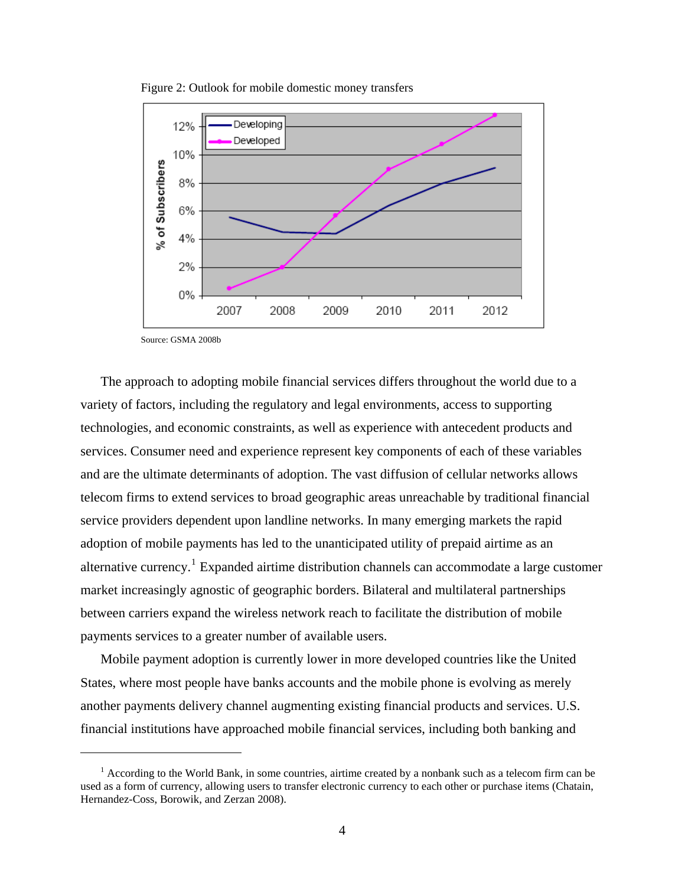

Figure 2: Outlook for mobile domestic money transfers

Source: GSMA 2008b

 $\overline{a}$ 

The approach to adopting mobile financial services differs throughout the world due to a variety of factors, including the regulatory and legal environments, access to supporting technologies, and economic constraints, as well as experience with antecedent products and services. Consumer need and experience represent key components of each of these variables and are the ultimate determinants of adoption. The vast diffusion of cellular networks allows telecom firms to extend services to broad geographic areas unreachable by traditional financial service providers dependent upon landline networks. In many emerging markets the rapid adoption of mobile payments has led to the unanticipated utility of prepaid airtime as an alternative currency.<sup>[1](#page-3-0)</sup> Expanded airtime distribution channels can accommodate a large customer market increasingly agnostic of geographic borders. Bilateral and multilateral partnerships between carriers expand the wireless network reach to facilitate the distribution of mobile payments services to a greater number of available users.

Mobile payment adoption is currently lower in more developed countries like the United States, where most people have banks accounts and the mobile phone is evolving as merely another payments delivery channel augmenting existing financial products and services. U.S. financial institutions have approached mobile financial services, including both banking and

<span id="page-3-0"></span><sup>&</sup>lt;sup>1</sup> According to the World Bank, in some countries, airtime created by a nonbank such as a telecom firm can be used as a form of currency, allowing users to transfer electronic currency to each other or purchase items (Chatain, Hernandez-Coss, Borowik, and Zerzan 2008).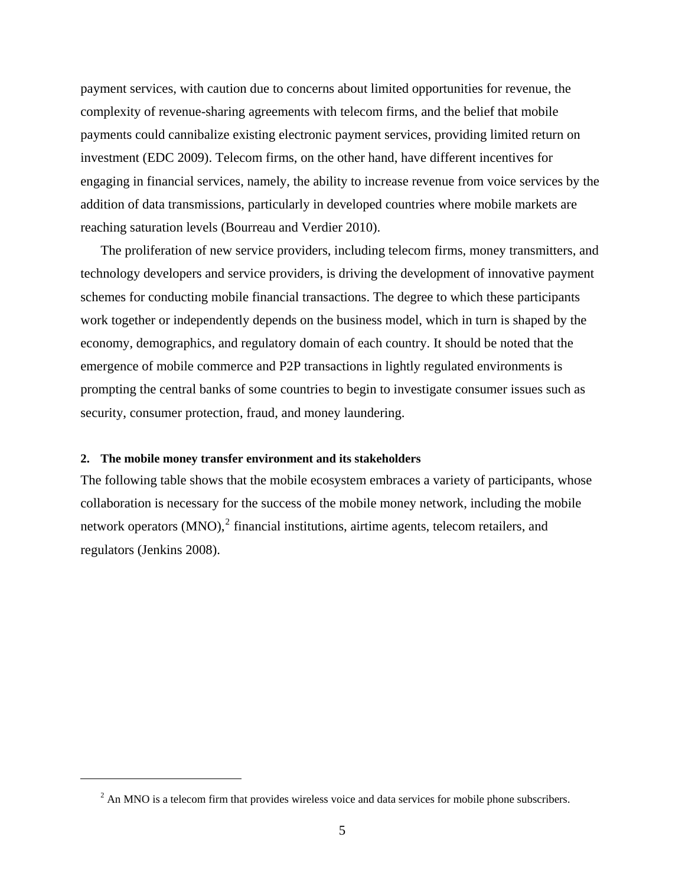payment services, with caution due to concerns about limited opportunities for revenue, the complexity of revenue-sharing agreements with telecom firms, and the belief that mobile payments could cannibalize existing electronic payment services, providing limited return on investment (EDC 2009). Telecom firms, on the other hand, have different incentives for engaging in financial services, namely, the ability to increase revenue from voice services by the addition of data transmissions, particularly in developed countries where mobile markets are reaching saturation levels (Bourreau and Verdier 2010).

The proliferation of new service providers, including telecom firms, money transmitters, and technology developers and service providers, is driving the development of innovative payment schemes for conducting mobile financial transactions. The degree to which these participants work together or independently depends on the business model, which in turn is shaped by the economy, demographics, and regulatory domain of each country. It should be noted that the emergence of mobile commerce and P2P transactions in lightly regulated environments is prompting the central banks of some countries to begin to investigate consumer issues such as security, consumer protection, fraud, and money laundering.

#### **2. The mobile money transfer environment and its stakeholders**

<span id="page-4-0"></span>1

The following table shows that the mobile ecosystem embraces a variety of participants, whose collaboration is necessary for the success of the mobile money network, including the mobile network operators  $(MNO)$ ,  $^{2}$  $^{2}$  $^{2}$  financial institutions, airtime agents, telecom retailers, and regulators (Jenkins 2008).

 $2$  An MNO is a telecom firm that provides wireless voice and data services for mobile phone subscribers.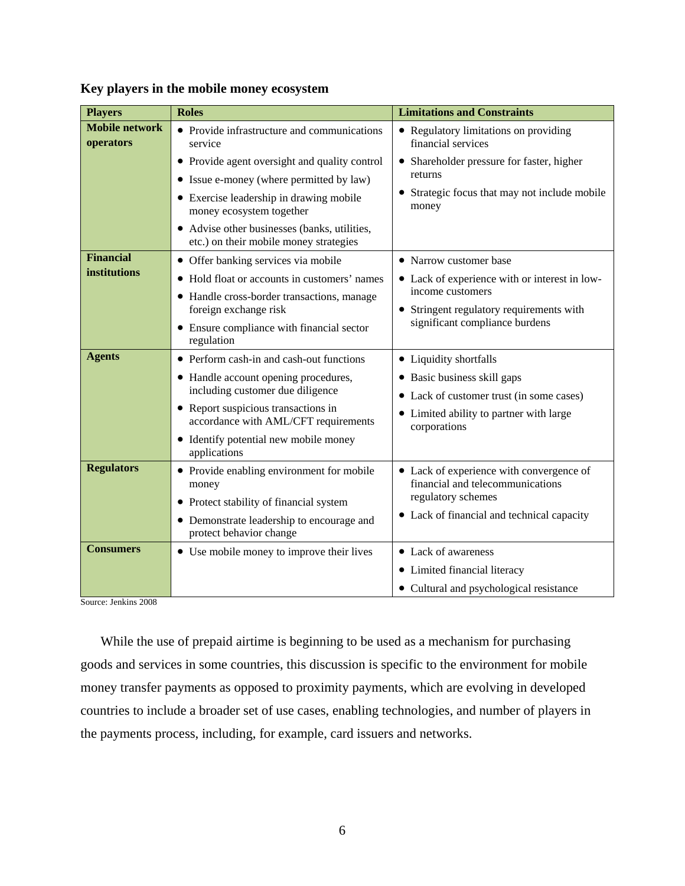| <b>Players</b>                          | <b>Roles</b>                                                                                                                                                                                                                                                                                                                                                                                                             | <b>Limitations and Constraints</b>                                                                                                                                                                                                                                                        |
|-----------------------------------------|--------------------------------------------------------------------------------------------------------------------------------------------------------------------------------------------------------------------------------------------------------------------------------------------------------------------------------------------------------------------------------------------------------------------------|-------------------------------------------------------------------------------------------------------------------------------------------------------------------------------------------------------------------------------------------------------------------------------------------|
| <b>Mobile network</b><br>operators      | • Provide infrastructure and communications<br>service                                                                                                                                                                                                                                                                                                                                                                   | • Regulatory limitations on providing<br>financial services                                                                                                                                                                                                                               |
| <b>Financial</b><br><b>institutions</b> | • Provide agent oversight and quality control<br>• Issue e-money (where permitted by law)<br>• Exercise leadership in drawing mobile<br>money ecosystem together<br>• Advise other businesses (banks, utilities,<br>etc.) on their mobile money strategies<br>• Offer banking services via mobile<br>• Hold float or accounts in customers' names<br>• Handle cross-border transactions, manage<br>foreign exchange risk | Shareholder pressure for faster, higher<br>returns<br>• Strategic focus that may not include mobile<br>money<br>• Narrow customer base<br>• Lack of experience with or interest in low-<br>income customers<br>• Stringent regulatory requirements with<br>significant compliance burdens |
| <b>Agents</b>                           | • Ensure compliance with financial sector<br>regulation<br>• Perform cash-in and cash-out functions<br>• Handle account opening procedures,<br>including customer due diligence<br>• Report suspicious transactions in<br>accordance with AML/CFT requirements<br>• Identify potential new mobile money<br>applications                                                                                                  | • Liquidity shortfalls<br>• Basic business skill gaps<br>• Lack of customer trust (in some cases)<br>• Limited ability to partner with large<br>corporations                                                                                                                              |
| <b>Regulators</b>                       | • Provide enabling environment for mobile<br>money<br>• Protect stability of financial system<br>• Demonstrate leadership to encourage and<br>protect behavior change                                                                                                                                                                                                                                                    | • Lack of experience with convergence of<br>financial and telecommunications<br>regulatory schemes<br>• Lack of financial and technical capacity                                                                                                                                          |
| <b>Consumers</b>                        | • Use mobile money to improve their lives                                                                                                                                                                                                                                                                                                                                                                                | • Lack of awareness<br>• Limited financial literacy<br>• Cultural and psychological resistance                                                                                                                                                                                            |

## **Key players in the mobile money ecosystem**

Source: Jenkins 2008

While the use of prepaid airtime is beginning to be used as a mechanism for purchasing goods and services in some countries, this discussion is specific to the environment for mobile money transfer payments as opposed to proximity payments, which are evolving in developed countries to include a broader set of use cases, enabling technologies, and number of players in the payments process, including, for example, card issuers and networks.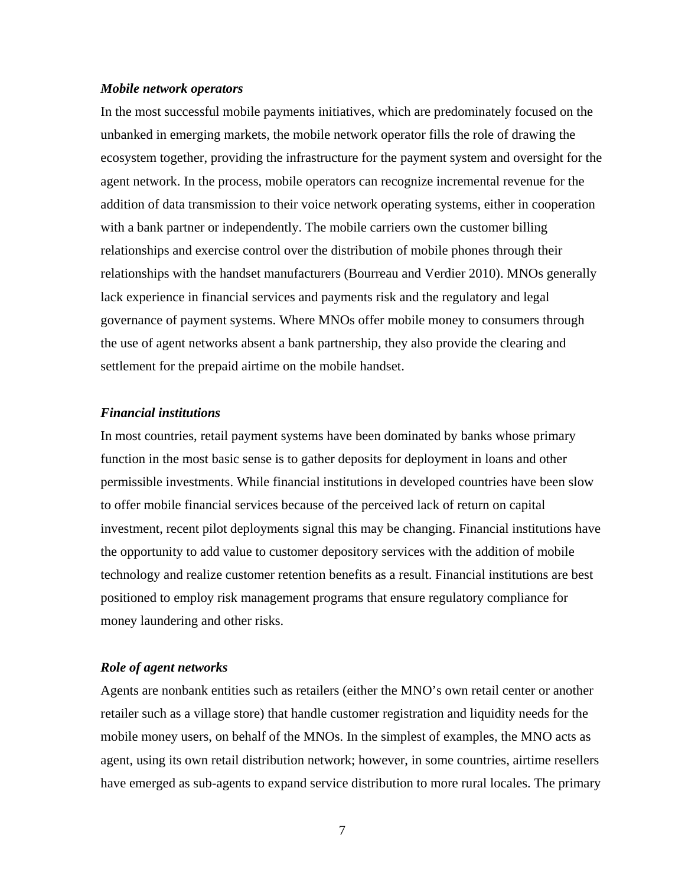#### *Mobile network operators*

In the most successful mobile payments initiatives, which are predominately focused on the unbanked in emerging markets, the mobile network operator fills the role of drawing the ecosystem together, providing the infrastructure for the payment system and oversight for the agent network. In the process, mobile operators can recognize incremental revenue for the addition of data transmission to their voice network operating systems, either in cooperation with a bank partner or independently. The mobile carriers own the customer billing relationships and exercise control over the distribution of mobile phones through their relationships with the handset manufacturers (Bourreau and Verdier 2010). MNOs generally lack experience in financial services and payments risk and the regulatory and legal governance of payment systems. Where MNOs offer mobile money to consumers through the use of agent networks absent a bank partnership, they also provide the clearing and settlement for the prepaid airtime on the mobile handset.

## *Financial institutions*

In most countries, retail payment systems have been dominated by banks whose primary function in the most basic sense is to gather deposits for deployment in loans and other permissible investments. While financial institutions in developed countries have been slow to offer mobile financial services because of the perceived lack of return on capital investment, recent pilot deployments signal this may be changing. Financial institutions have the opportunity to add value to customer depository services with the addition of mobile technology and realize customer retention benefits as a result. Financial institutions are best positioned to employ risk management programs that ensure regulatory compliance for money laundering and other risks.

## *Role of agent networks*

Agents are nonbank entities such as retailers (either the MNO's own retail center or another retailer such as a village store) that handle customer registration and liquidity needs for the mobile money users, on behalf of the MNOs. In the simplest of examples, the MNO acts as agent, using its own retail distribution network; however, in some countries, airtime resellers have emerged as sub-agents to expand service distribution to more rural locales. The primary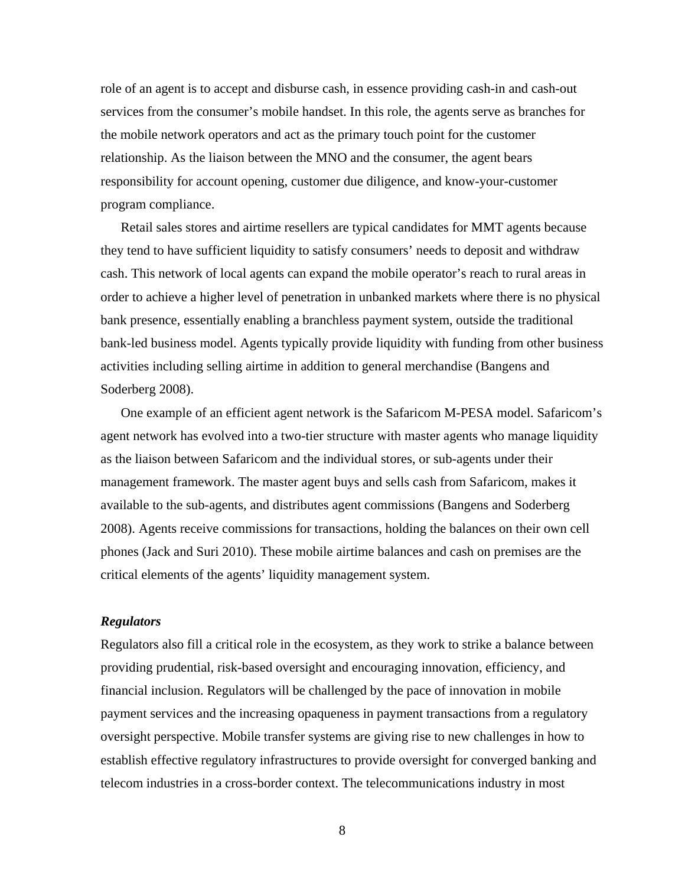role of an agent is to accept and disburse cash, in essence providing cash-in and cash-out services from the consumer's mobile handset. In this role, the agents serve as branches for the mobile network operators and act as the primary touch point for the customer relationship. As the liaison between the MNO and the consumer, the agent bears responsibility for account opening, customer due diligence, and know-your-customer program compliance.

Retail sales stores and airtime resellers are typical candidates for MMT agents because they tend to have sufficient liquidity to satisfy consumers' needs to deposit and withdraw cash. This network of local agents can expand the mobile operator's reach to rural areas in order to achieve a higher level of penetration in unbanked markets where there is no physical bank presence, essentially enabling a branchless payment system, outside the traditional bank-led business model. Agents typically provide liquidity with funding from other business activities including selling airtime in addition to general merchandise (Bangens and Soderberg 2008).

One example of an efficient agent network is the Safaricom M-PESA model. Safaricom's agent network has evolved into a two-tier structure with master agents who manage liquidity as the liaison between Safaricom and the individual stores, or sub-agents under their management framework. The master agent buys and sells cash from Safaricom, makes it available to the sub-agents, and distributes agent commissions (Bangens and Soderberg 2008). Agents receive commissions for transactions, holding the balances on their own cell phones (Jack and Suri 2010). These mobile airtime balances and cash on premises are the critical elements of the agents' liquidity management system.

## *Regulators*

Regulators also fill a critical role in the ecosystem, as they work to strike a balance between providing prudential, risk-based oversight and encouraging innovation, efficiency, and financial inclusion. Regulators will be challenged by the pace of innovation in mobile payment services and the increasing opaqueness in payment transactions from a regulatory oversight perspective. Mobile transfer systems are giving rise to new challenges in how to establish effective regulatory infrastructures to provide oversight for converged banking and telecom industries in a cross-border context. The telecommunications industry in most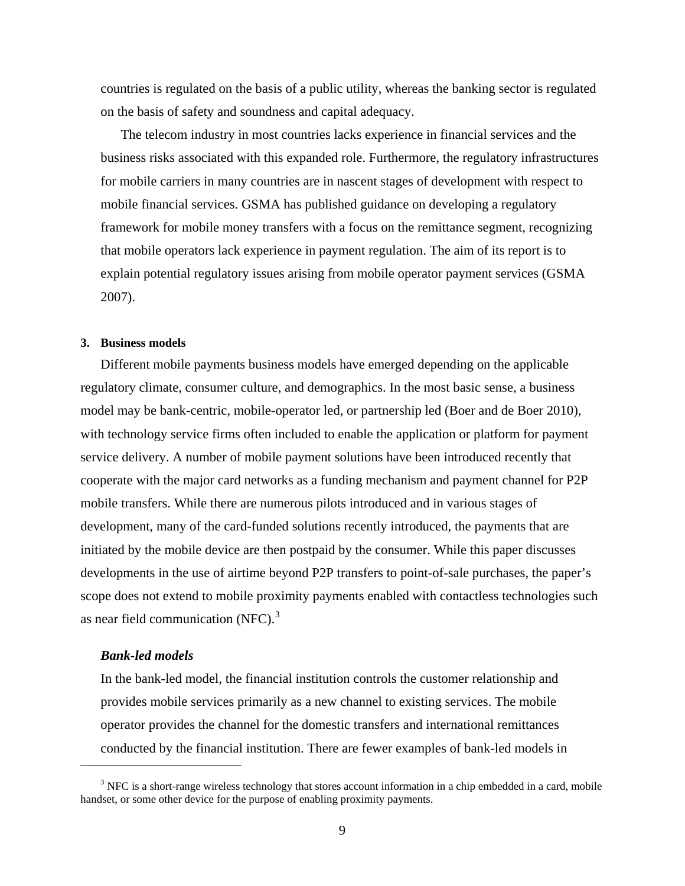countries is regulated on the basis of a public utility, whereas the banking sector is regulated on the basis of safety and soundness and capital adequacy.

The telecom industry in most countries lacks experience in financial services and the business risks associated with this expanded role. Furthermore, the regulatory infrastructures for mobile carriers in many countries are in nascent stages of development with respect to mobile financial services. GSMA has published guidance on developing a regulatory framework for mobile money transfers with a focus on the remittance segment, recognizing that mobile operators lack experience in payment regulation. The aim of its report is to explain potential regulatory issues arising from mobile operator payment services (GSMA 2007).

#### **3. Business models**

Different mobile payments business models have emerged depending on the applicable regulatory climate, consumer culture, and demographics. In the most basic sense, a business model may be bank-centric, mobile-operator led, or partnership led (Boer and de Boer 2010), with technology service firms often included to enable the application or platform for payment service delivery. A number of mobile payment solutions have been introduced recently that cooperate with the major card networks as a funding mechanism and payment channel for P2P mobile transfers. While there are numerous pilots introduced and in various stages of development, many of the card-funded solutions recently introduced, the payments that are initiated by the mobile device are then postpaid by the consumer. While this paper discusses developments in the use of airtime beyond P2P transfers to point-of-sale purchases, the paper's scope does not extend to mobile proximity payments enabled with contactless technologies such as near field communication  $(NFC)$ .<sup>[3](#page-8-0)</sup>

## *Bank-led models*

 $\overline{a}$ 

In the bank-led model, the financial institution controls the customer relationship and provides mobile services primarily as a new channel to existing services. The mobile operator provides the channel for the domestic transfers and international remittances conducted by the financial institution. There are fewer examples of bank-led models in

<span id="page-8-0"></span> $3$  NFC is a short-range wireless technology that stores account information in a chip embedded in a card, mobile handset, or some other device for the purpose of enabling proximity payments.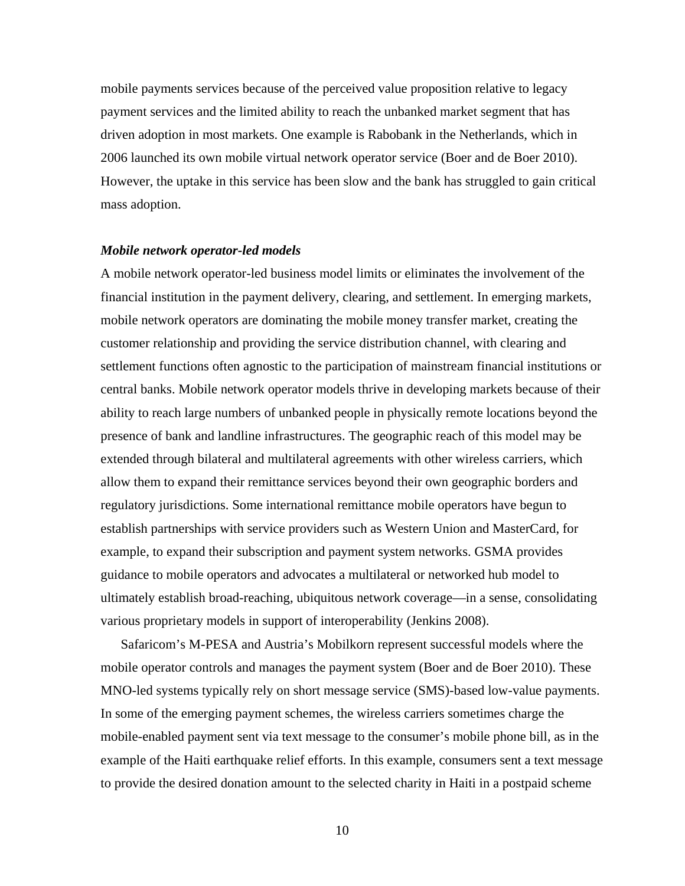mobile payments services because of the perceived value proposition relative to legacy payment services and the limited ability to reach the unbanked market segment that has driven adoption in most markets. One example is Rabobank in the Netherlands, which in 2006 launched its own mobile virtual network operator service (Boer and de Boer 2010). However, the uptake in this service has been slow and the bank has struggled to gain critical mass adoption.

#### *Mobile network operator-led models*

A mobile network operator-led business model limits or eliminates the involvement of the financial institution in the payment delivery, clearing, and settlement. In emerging markets, mobile network operators are dominating the mobile money transfer market, creating the customer relationship and providing the service distribution channel, with clearing and settlement functions often agnostic to the participation of mainstream financial institutions or central banks. Mobile network operator models thrive in developing markets because of their ability to reach large numbers of unbanked people in physically remote locations beyond the presence of bank and landline infrastructures. The geographic reach of this model may be extended through bilateral and multilateral agreements with other wireless carriers, which allow them to expand their remittance services beyond their own geographic borders and regulatory jurisdictions. Some international remittance mobile operators have begun to establish partnerships with service providers such as Western Union and MasterCard, for example, to expand their subscription and payment system networks. GSMA provides guidance to mobile operators and advocates a multilateral or networked hub model to ultimately establish broad-reaching, ubiquitous network coverage—in a sense, consolidating various proprietary models in support of interoperability (Jenkins 2008).

Safaricom's M-PESA and Austria's Mobilkorn represent successful models where the mobile operator controls and manages the payment system (Boer and de Boer 2010). These MNO-led systems typically rely on short message service (SMS)-based low-value payments. In some of the emerging payment schemes, the wireless carriers sometimes charge the mobile-enabled payment sent via text message to the consumer's mobile phone bill, as in the example of the Haiti earthquake relief efforts. In this example, consumers sent a text message to provide the desired donation amount to the selected charity in Haiti in a postpaid scheme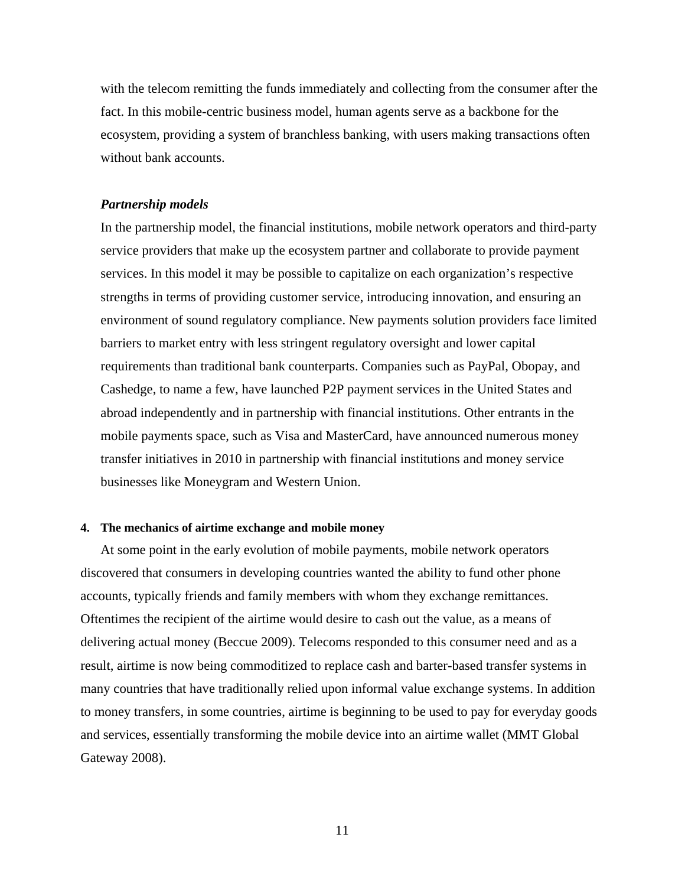with the telecom remitting the funds immediately and collecting from the consumer after the fact. In this mobile-centric business model, human agents serve as a backbone for the ecosystem, providing a system of branchless banking, with users making transactions often without bank accounts.

## *Partnership models*

In the partnership model, the financial institutions, mobile network operators and third-party service providers that make up the ecosystem partner and collaborate to provide payment services. In this model it may be possible to capitalize on each organization's respective strengths in terms of providing customer service, introducing innovation, and ensuring an environment of sound regulatory compliance. New payments solution providers face limited barriers to market entry with less stringent regulatory oversight and lower capital requirements than traditional bank counterparts. Companies such as PayPal, Obopay, and Cashedge, to name a few, have launched P2P payment services in the United States and abroad independently and in partnership with financial institutions. Other entrants in the mobile payments space, such as Visa and MasterCard, have announced numerous money transfer initiatives in 2010 in partnership with financial institutions and money service businesses like Moneygram and Western Union.

#### **4. The mechanics of airtime exchange and mobile money**

At some point in the early evolution of mobile payments, mobile network operators discovered that consumers in developing countries wanted the ability to fund other phone accounts, typically friends and family members with whom they exchange remittances. Oftentimes the recipient of the airtime would desire to cash out the value, as a means of delivering actual money (Beccue 2009). Telecoms responded to this consumer need and as a result, airtime is now being commoditized to replace cash and barter-based transfer systems in many countries that have traditionally relied upon informal value exchange systems. In addition to money transfers, in some countries, airtime is beginning to be used to pay for everyday goods and services, essentially transforming the mobile device into an airtime wallet (MMT Global Gateway 2008).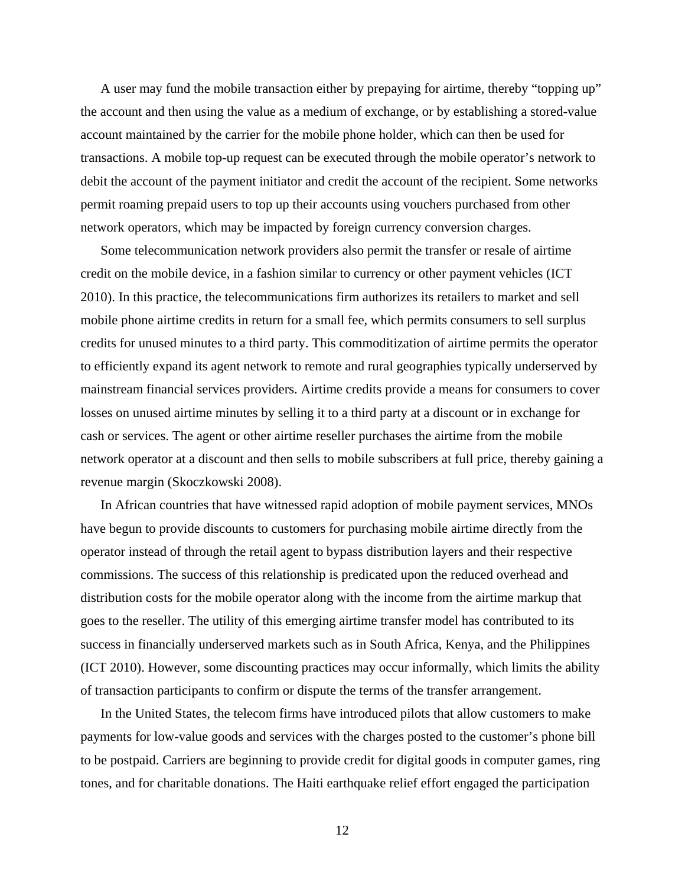A user may fund the mobile transaction either by prepaying for airtime, thereby "topping up" the account and then using the value as a medium of exchange, or by establishing a stored-value account maintained by the carrier for the mobile phone holder, which can then be used for transactions. A mobile top-up request can be executed through the mobile operator's network to debit the account of the payment initiator and credit the account of the recipient. Some networks permit roaming prepaid users to top up their accounts using vouchers purchased from other network operators, which may be impacted by foreign currency conversion charges.

Some telecommunication network providers also permit the transfer or resale of airtime credit on the mobile device, in a fashion similar to currency or other payment vehicles (ICT 2010). In this practice, the telecommunications firm authorizes its retailers to market and sell mobile phone airtime credits in return for a small fee, which permits consumers to sell surplus credits for unused minutes to a third party. This commoditization of airtime permits the operator to efficiently expand its agent network to remote and rural geographies typically underserved by mainstream financial services providers. Airtime credits provide a means for consumers to cover losses on unused airtime minutes by selling it to a third party at a discount or in exchange for cash or services. The agent or other airtime reseller purchases the airtime from the mobile network operator at a discount and then sells to mobile subscribers at full price, thereby gaining a revenue margin (Skoczkowski 2008).

In African countries that have witnessed rapid adoption of mobile payment services, MNOs have begun to provide discounts to customers for purchasing mobile airtime directly from the operator instead of through the retail agent to bypass distribution layers and their respective commissions. The success of this relationship is predicated upon the reduced overhead and distribution costs for the mobile operator along with the income from the airtime markup that goes to the reseller. The utility of this emerging airtime transfer model has contributed to its success in financially underserved markets such as in South Africa, Kenya, and the Philippines (ICT 2010). However, some discounting practices may occur informally, which limits the ability of transaction participants to confirm or dispute the terms of the transfer arrangement.

In the United States, the telecom firms have introduced pilots that allow customers to make payments for low-value goods and services with the charges posted to the customer's phone bill to be postpaid. Carriers are beginning to provide credit for digital goods in computer games, ring tones, and for charitable donations. The Haiti earthquake relief effort engaged the participation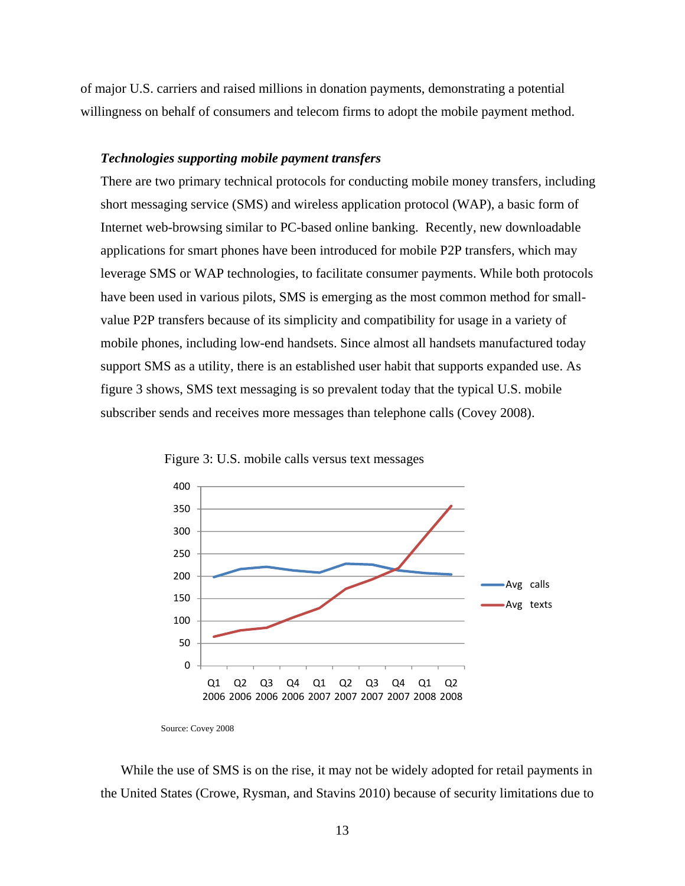of major U.S. carriers and raised millions in donation payments, demonstrating a potential willingness on behalf of consumers and telecom firms to adopt the mobile payment method.

## *Technologies supporting mobile payment transfers*

There are two primary technical protocols for conducting mobile money transfers, including short messaging service (SMS) and wireless application protocol (WAP), a basic form of Internet web-browsing similar to PC-based online banking. Recently, new downloadable applications for smart phones have been introduced for mobile P2P transfers, which may leverage SMS or WAP technologies, to facilitate consumer payments. While both protocols have been used in various pilots, SMS is emerging as the most common method for smallvalue P2P transfers because of its simplicity and compatibility for usage in a variety of mobile phones, including low-end handsets. Since almost all handsets manufactured today support SMS as a utility, there is an established user habit that supports expanded use. As figure 3 shows, SMS text messaging is so prevalent today that the typical U.S. mobile subscriber sends and receives more messages than telephone calls (Covey 2008).



Figure 3: U.S. mobile calls versus text messages

While the use of SMS is on the rise, it may not be widely adopted for retail payments in the United States (Crowe, Rysman, and Stavins 2010) because of security limitations due to

Source: Covey 2008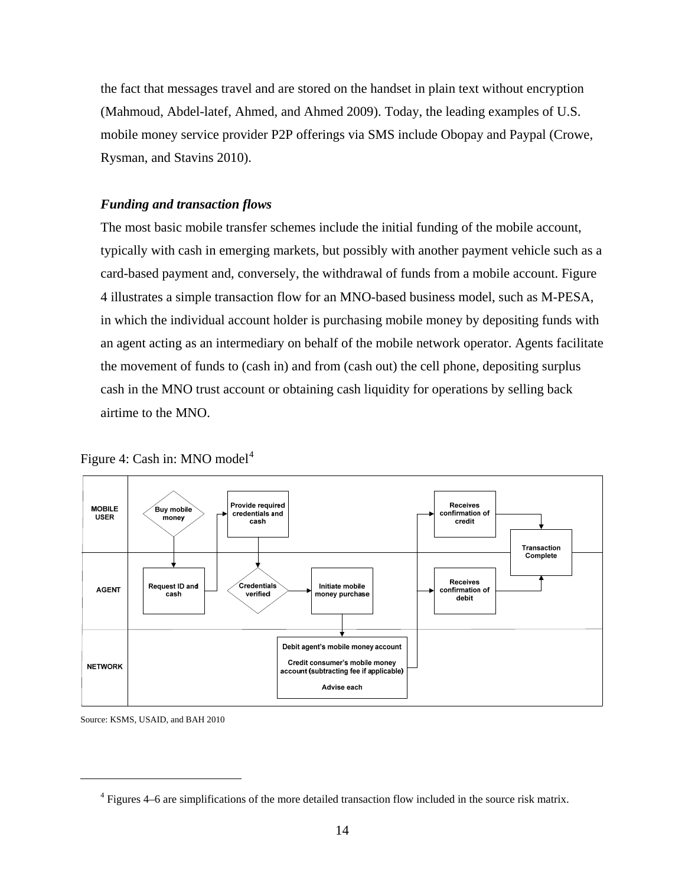the fact that messages travel and are stored on the handset in plain text without encryption (Mahmoud, Abdel-latef, Ahmed, and Ahmed 2009). Today, the leading examples of U.S. mobile money service provider P2P offerings via SMS include Obopay and Paypal (Crowe, Rysman, and Stavins 2010).

## *Funding and transaction flows*

The most basic mobile transfer schemes include the initial funding of the mobile account, typically with cash in emerging markets, but possibly with another payment vehicle such as a card-based payment and, conversely, the withdrawal of funds from a mobile account. Figure 4 illustrates a simple transaction flow for an MNO-based business model, such as M-PESA, in which the individual account holder is purchasing mobile money by depositing funds with an agent acting as an intermediary on behalf of the mobile network operator. Agents facilitate the movement of funds to (cash in) and from (cash out) the cell phone, depositing surplus cash in the MNO trust account or obtaining cash liquidity for operations by selling back airtime to the MNO.



Figure [4](#page-13-0): Cash in: MNO model<sup>4</sup>

Source: KSMS, USAID, and BAH 2010

<span id="page-13-0"></span> $\overline{a}$ 

 $4$  Figures 4–6 are simplifications of the more detailed transaction flow included in the source risk matrix.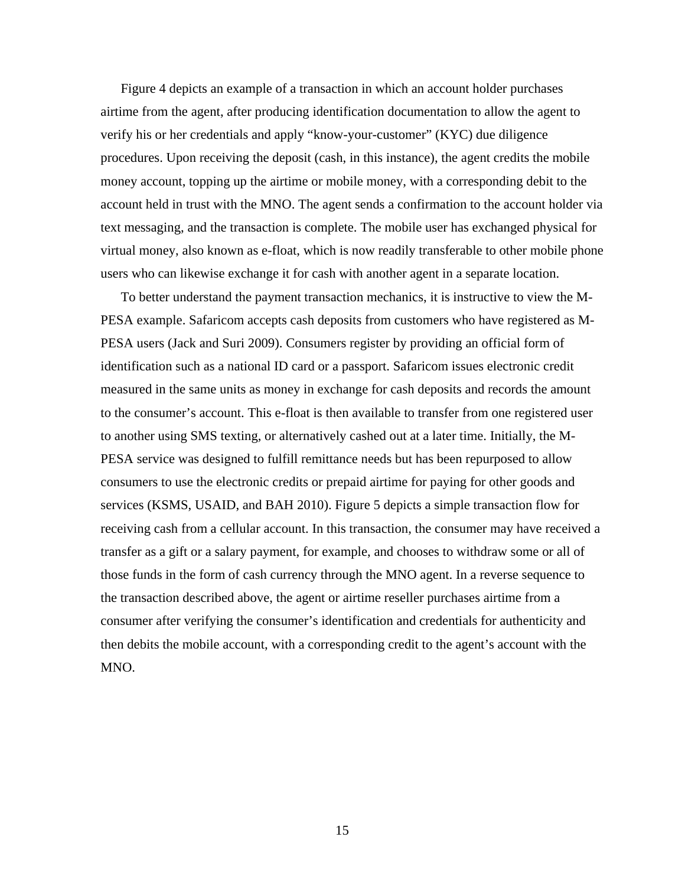Figure 4 depicts an example of a transaction in which an account holder purchases airtime from the agent, after producing identification documentation to allow the agent to verify his or her credentials and apply "know-your-customer" (KYC) due diligence procedures. Upon receiving the deposit (cash, in this instance), the agent credits the mobile money account, topping up the airtime or mobile money, with a corresponding debit to the account held in trust with the MNO. The agent sends a confirmation to the account holder via text messaging, and the transaction is complete. The mobile user has exchanged physical for virtual money, also known as e-float, which is now readily transferable to other mobile phone users who can likewise exchange it for cash with another agent in a separate location.

To better understand the payment transaction mechanics, it is instructive to view the M-PESA example. Safaricom accepts cash deposits from customers who have registered as M-PESA users (Jack and Suri 2009). Consumers register by providing an official form of identification such as a national ID card or a passport. Safaricom issues electronic credit measured in the same units as money in exchange for cash deposits and records the amount to the consumer's account. This e-float is then available to transfer from one registered user to another using SMS texting, or alternatively cashed out at a later time. Initially, the M-PESA service was designed to fulfill remittance needs but has been repurposed to allow consumers to use the electronic credits or prepaid airtime for paying for other goods and services (KSMS, USAID, and BAH 2010). Figure 5 depicts a simple transaction flow for receiving cash from a cellular account. In this transaction, the consumer may have received a transfer as a gift or a salary payment, for example, and chooses to withdraw some or all of those funds in the form of cash currency through the MNO agent. In a reverse sequence to the transaction described above, the agent or airtime reseller purchases airtime from a consumer after verifying the consumer's identification and credentials for authenticity and then debits the mobile account, with a corresponding credit to the agent's account with the MNO.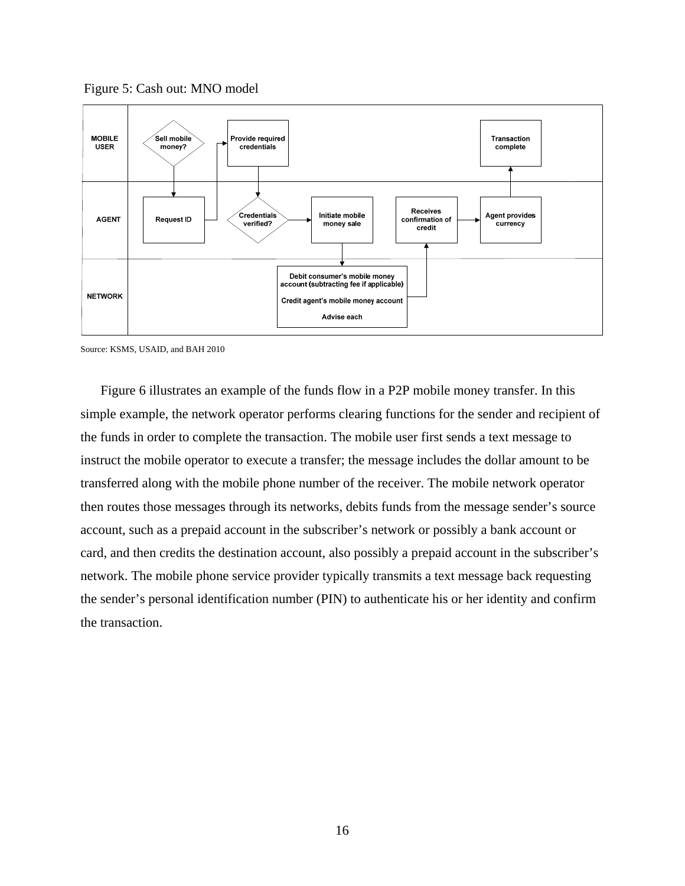



Source: KSMS, USAID, and BAH 2010

Figure 6 illustrates an example of the funds flow in a P2P mobile money transfer. In this simple example, the network operator performs clearing functions for the sender and recipient of the funds in order to complete the transaction. The mobile user first sends a text message to instruct the mobile operator to execute a transfer; the message includes the dollar amount to be transferred along with the mobile phone number of the receiver. The mobile network operator then routes those messages through its networks, debits funds from the message sender's source account, such as a prepaid account in the subscriber's network or possibly a bank account or card, and then credits the destination account, also possibly a prepaid account in the subscriber's network. The mobile phone service provider typically transmits a text message back requesting the sender's personal identification number (PIN) to authenticate his or her identity and confirm the transaction.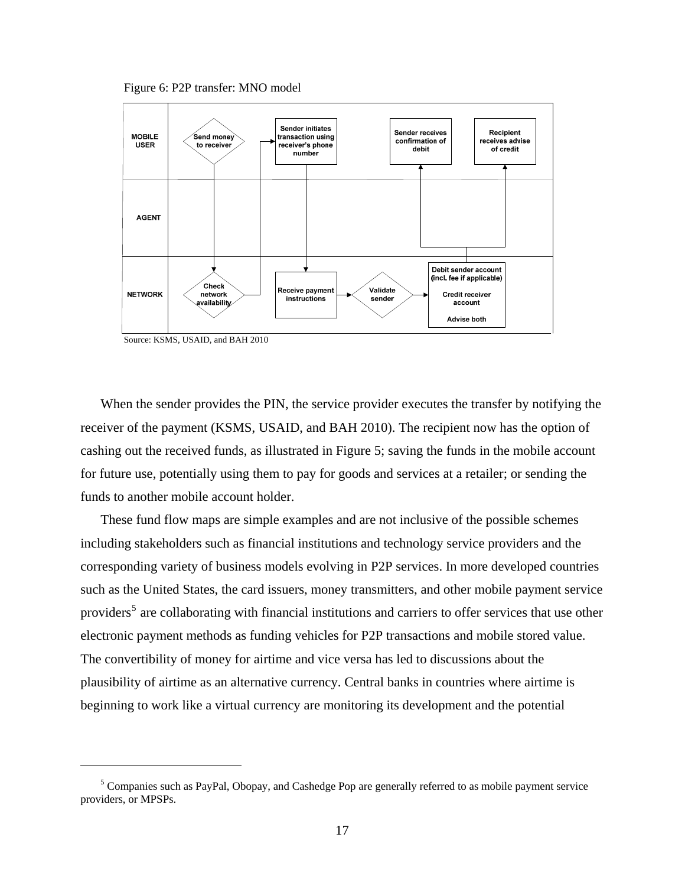Figure 6: P2P transfer: MNO model



Source: KSMS, USAID, and BAH 2010

 $\overline{a}$ 

When the sender provides the PIN, the service provider executes the transfer by notifying the receiver of the payment (KSMS, USAID, and BAH 2010). The recipient now has the option of cashing out the received funds, as illustrated in Figure 5; saving the funds in the mobile account for future use, potentially using them to pay for goods and services at a retailer; or sending the funds to another mobile account holder.

These fund flow maps are simple examples and are not inclusive of the possible schemes including stakeholders such as financial institutions and technology service providers and the corresponding variety of business models evolving in P2P services. In more developed countries such as the United States, the card issuers, money transmitters, and other mobile payment service providers<sup>[5](#page-16-0)</sup> are collaborating with financial institutions and carriers to offer services that use other electronic payment methods as funding vehicles for P2P transactions and mobile stored value. The convertibility of money for airtime and vice versa has led to discussions about the plausibility of airtime as an alternative currency. Central banks in countries where airtime is beginning to work like a virtual currency are monitoring its development and the potential

<span id="page-16-0"></span><sup>&</sup>lt;sup>5</sup> Companies such as PayPal, Obopay, and Cashedge Pop are generally referred to as mobile payment service providers, or MPSPs.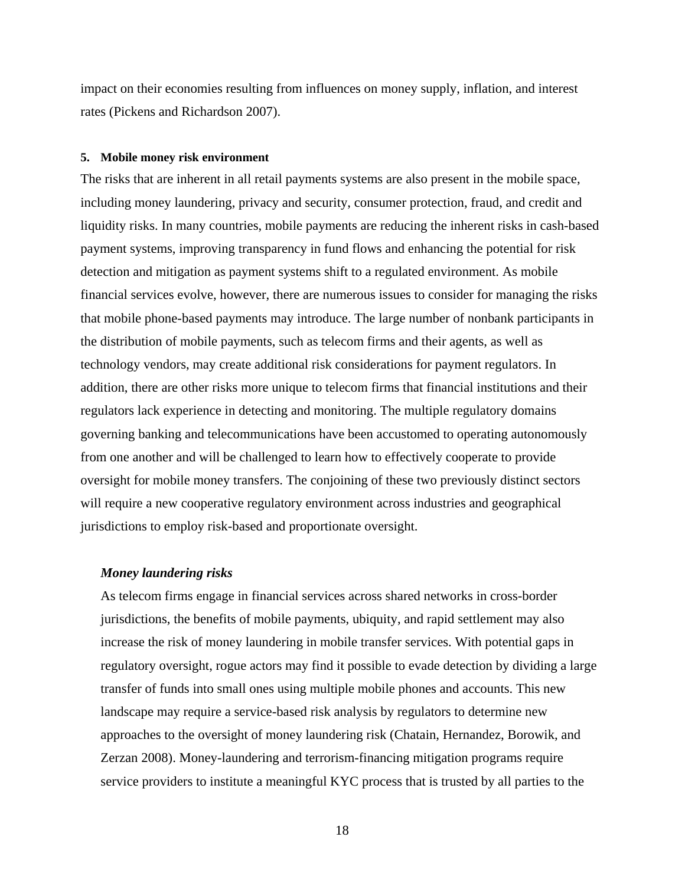impact on their economies resulting from influences on money supply, inflation, and interest rates (Pickens and Richardson 2007).

#### **5. Mobile money risk environment**

The risks that are inherent in all retail payments systems are also present in the mobile space, including money laundering, privacy and security, consumer protection, fraud, and credit and liquidity risks. In many countries, mobile payments are reducing the inherent risks in cash-based payment systems, improving transparency in fund flows and enhancing the potential for risk detection and mitigation as payment systems shift to a regulated environment. As mobile financial services evolve, however, there are numerous issues to consider for managing the risks that mobile phone-based payments may introduce. The large number of nonbank participants in the distribution of mobile payments, such as telecom firms and their agents, as well as technology vendors, may create additional risk considerations for payment regulators. In addition, there are other risks more unique to telecom firms that financial institutions and their regulators lack experience in detecting and monitoring. The multiple regulatory domains governing banking and telecommunications have been accustomed to operating autonomously from one another and will be challenged to learn how to effectively cooperate to provide oversight for mobile money transfers. The conjoining of these two previously distinct sectors will require a new cooperative regulatory environment across industries and geographical jurisdictions to employ risk-based and proportionate oversight.

## *Money laundering risks*

As telecom firms engage in financial services across shared networks in cross-border jurisdictions, the benefits of mobile payments, ubiquity, and rapid settlement may also increase the risk of money laundering in mobile transfer services. With potential gaps in regulatory oversight, rogue actors may find it possible to evade detection by dividing a large transfer of funds into small ones using multiple mobile phones and accounts. This new landscape may require a service-based risk analysis by regulators to determine new approaches to the oversight of money laundering risk (Chatain, Hernandez, Borowik, and Zerzan 2008). Money-laundering and terrorism-financing mitigation programs require service providers to institute a meaningful KYC process that is trusted by all parties to the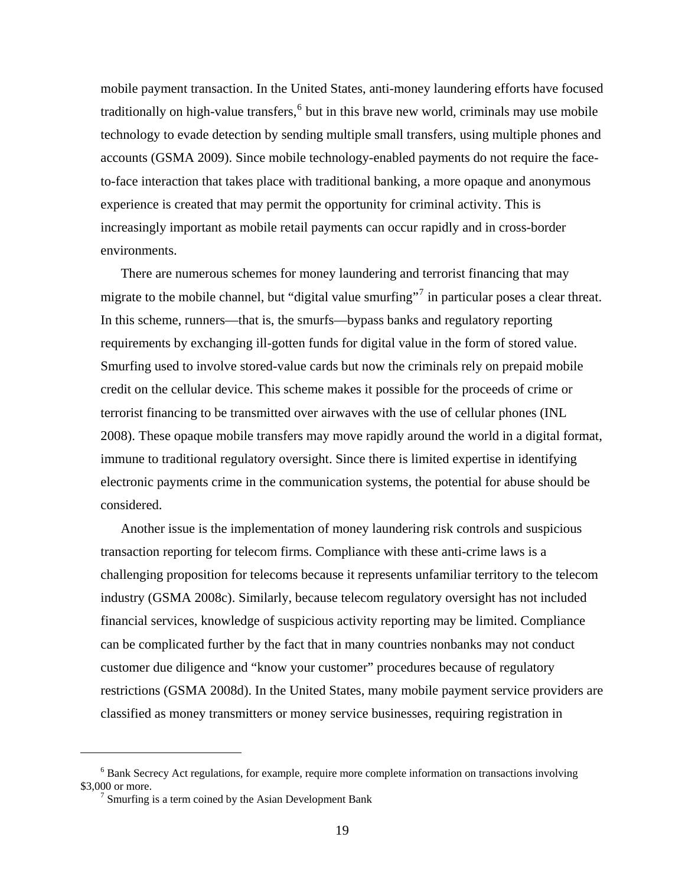mobile payment transaction. In the United States, anti-money laundering efforts have focused traditionally on high-value transfers, <sup>[6](#page-18-0)</sup> but in this brave new world, criminals may use mobile technology to evade detection by sending multiple small transfers, using multiple phones and accounts (GSMA 2009). Since mobile technology-enabled payments do not require the faceto-face interaction that takes place with traditional banking, a more opaque and anonymous experience is created that may permit the opportunity for criminal activity. This is increasingly important as mobile retail payments can occur rapidly and in cross-border environments.

There are numerous schemes for money laundering and terrorist financing that may migrate to the mobile channel, but "digital value smurfing"<sup>[7](#page-18-1)</sup> in particular poses a clear threat. In this scheme, runners—that is, the smurfs—bypass banks and regulatory reporting requirements by exchanging ill-gotten funds for digital value in the form of stored value. Smurfing used to involve stored-value cards but now the criminals rely on prepaid mobile credit on the cellular device. This scheme makes it possible for the proceeds of crime or terrorist financing to be transmitted over airwaves with the use of cellular phones (INL 2008). These opaque mobile transfers may move rapidly around the world in a digital format, immune to traditional regulatory oversight. Since there is limited expertise in identifying electronic payments crime in the communication systems, the potential for abuse should be considered.

Another issue is the implementation of money laundering risk controls and suspicious transaction reporting for telecom firms. Compliance with these anti-crime laws is a challenging proposition for telecoms because it represents unfamiliar territory to the telecom industry (GSMA 2008c). Similarly, because telecom regulatory oversight has not included financial services, knowledge of suspicious activity reporting may be limited. Compliance can be complicated further by the fact that in many countries nonbanks may not conduct customer due diligence and "know your customer" procedures because of regulatory restrictions (GSMA 2008d). In the United States, many mobile payment service providers are classified as money transmitters or money service businesses, requiring registration in

 $\overline{a}$ 

<span id="page-18-1"></span><span id="page-18-0"></span><sup>&</sup>lt;sup>6</sup> Bank Secrecy Act regulations, for example, require more complete information on transactions involving \$3,000 or more.

Smurfing is a term coined by the Asian Development Bank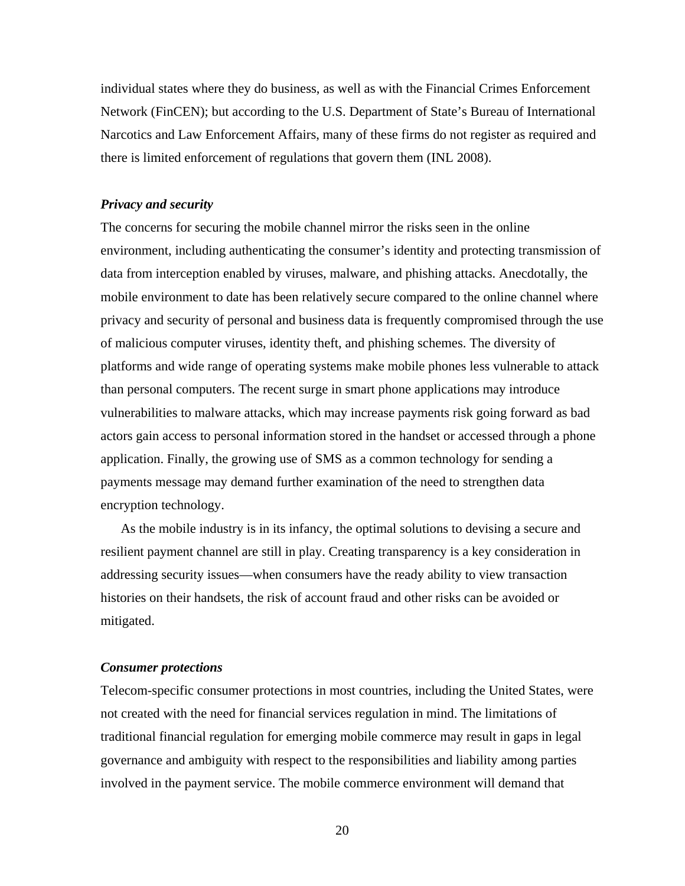individual states where they do business, as well as with the Financial Crimes Enforcement Network (FinCEN); but according to the U.S. Department of State's Bureau of International Narcotics and Law Enforcement Affairs, many of these firms do not register as required and there is limited enforcement of regulations that govern them (INL 2008).

## *Privacy and security*

The concerns for securing the mobile channel mirror the risks seen in the online environment, including authenticating the consumer's identity and protecting transmission of data from interception enabled by viruses, malware, and phishing attacks. Anecdotally, the mobile environment to date has been relatively secure compared to the online channel where privacy and security of personal and business data is frequently compromised through the use of malicious computer viruses, identity theft, and phishing schemes. The diversity of platforms and wide range of operating systems make mobile phones less vulnerable to attack than personal computers. The recent surge in smart phone applications may introduce vulnerabilities to malware attacks, which may increase payments risk going forward as bad actors gain access to personal information stored in the handset or accessed through a phone application. Finally, the growing use of SMS as a common technology for sending a payments message may demand further examination of the need to strengthen data encryption technology.

As the mobile industry is in its infancy, the optimal solutions to devising a secure and resilient payment channel are still in play. Creating transparency is a key consideration in addressing security issues—when consumers have the ready ability to view transaction histories on their handsets, the risk of account fraud and other risks can be avoided or mitigated.

#### *Consumer protections*

Telecom-specific consumer protections in most countries, including the United States, were not created with the need for financial services regulation in mind. The limitations of traditional financial regulation for emerging mobile commerce may result in gaps in legal governance and ambiguity with respect to the responsibilities and liability among parties involved in the payment service. The mobile commerce environment will demand that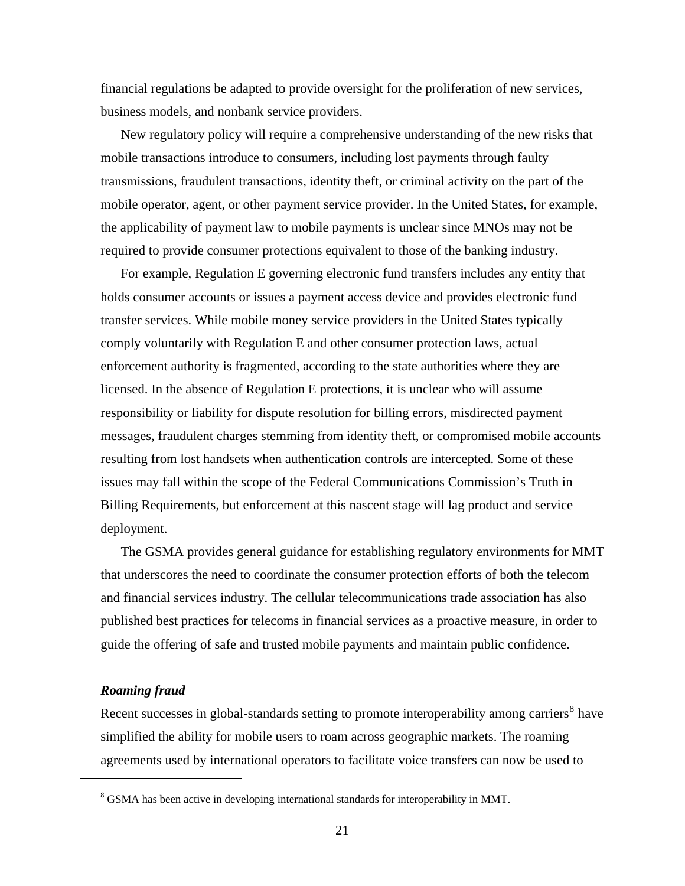financial regulations be adapted to provide oversight for the proliferation of new services, business models, and nonbank service providers.

New regulatory policy will require a comprehensive understanding of the new risks that mobile transactions introduce to consumers, including lost payments through faulty transmissions, fraudulent transactions, identity theft, or criminal activity on the part of the mobile operator, agent, or other payment service provider. In the United States, for example, the applicability of payment law to mobile payments is unclear since MNOs may not be required to provide consumer protections equivalent to those of the banking industry.

For example, Regulation E governing electronic fund transfers includes any entity that holds consumer accounts or issues a payment access device and provides electronic fund transfer services. While mobile money service providers in the United States typically comply voluntarily with Regulation E and other consumer protection laws, actual enforcement authority is fragmented, according to the state authorities where they are licensed. In the absence of Regulation E protections, it is unclear who will assume responsibility or liability for dispute resolution for billing errors, misdirected payment messages, fraudulent charges stemming from identity theft, or compromised mobile accounts resulting from lost handsets when authentication controls are intercepted. Some of these issues may fall within the scope of the Federal Communications Commission's Truth in Billing Requirements, but enforcement at this nascent stage will lag product and service deployment.

The GSMA provides general guidance for establishing regulatory environments for MMT that underscores the need to coordinate the consumer protection efforts of both the telecom and financial services industry. The cellular telecommunications trade association has also published best practices for telecoms in financial services as a proactive measure, in order to guide the offering of safe and trusted mobile payments and maintain public confidence.

## *Roaming fraud*

<span id="page-20-0"></span> $\overline{a}$ 

Recent successes in global-standards setting to promote interoperability among carriers<sup>[8](#page-20-0)</sup> have simplified the ability for mobile users to roam across geographic markets. The roaming agreements used by international operators to facilitate voice transfers can now be used to

<sup>&</sup>lt;sup>8</sup> GSMA has been active in developing international standards for interoperability in MMT.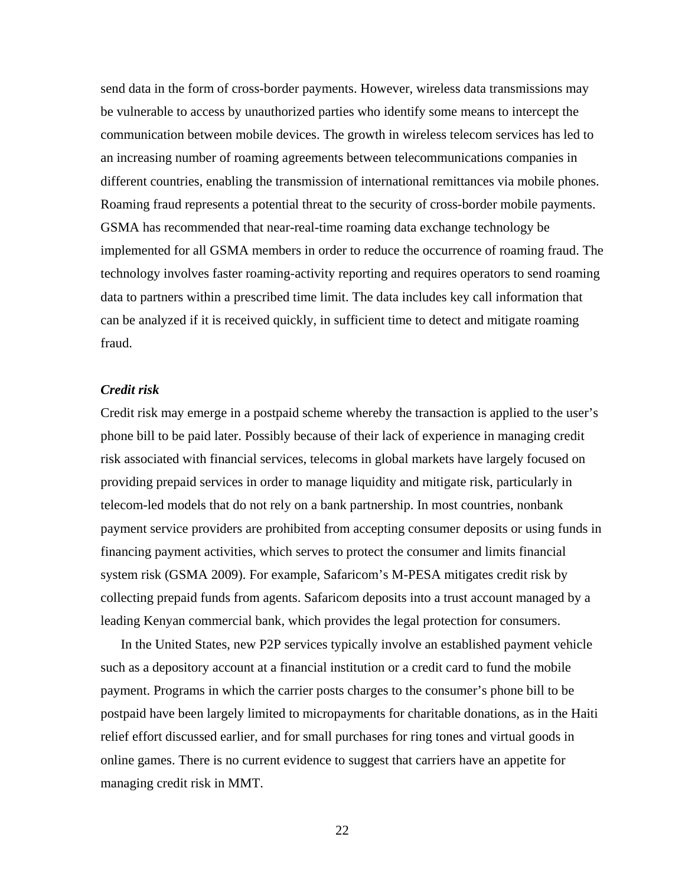send data in the form of cross-border payments. However, wireless data transmissions may be vulnerable to access by unauthorized parties who identify some means to intercept the communication between mobile devices. The growth in wireless telecom services has led to an increasing number of roaming agreements between telecommunications companies in different countries, enabling the transmission of international remittances via mobile phones. Roaming fraud represents a potential threat to the security of cross-border mobile payments. GSMA has recommended that near-real-time roaming data exchange technology be implemented for all GSMA members in order to reduce the occurrence of roaming fraud. The technology involves faster roaming-activity reporting and requires operators to send roaming data to partners within a prescribed time limit. The data includes key call information that can be analyzed if it is received quickly, in sufficient time to detect and mitigate roaming fraud.

## *Credit risk*

Credit risk may emerge in a postpaid scheme whereby the transaction is applied to the user's phone bill to be paid later. Possibly because of their lack of experience in managing credit risk associated with financial services, telecoms in global markets have largely focused on providing prepaid services in order to manage liquidity and mitigate risk, particularly in telecom-led models that do not rely on a bank partnership. In most countries, nonbank payment service providers are prohibited from accepting consumer deposits or using funds in financing payment activities, which serves to protect the consumer and limits financial system risk (GSMA 2009). For example, Safaricom's M-PESA mitigates credit risk by collecting prepaid funds from agents. Safaricom deposits into a trust account managed by a leading Kenyan commercial bank, which provides the legal protection for consumers.

In the United States, new P2P services typically involve an established payment vehicle such as a depository account at a financial institution or a credit card to fund the mobile payment. Programs in which the carrier posts charges to the consumer's phone bill to be postpaid have been largely limited to micropayments for charitable donations, as in the Haiti relief effort discussed earlier, and for small purchases for ring tones and virtual goods in online games. There is no current evidence to suggest that carriers have an appetite for managing credit risk in MMT.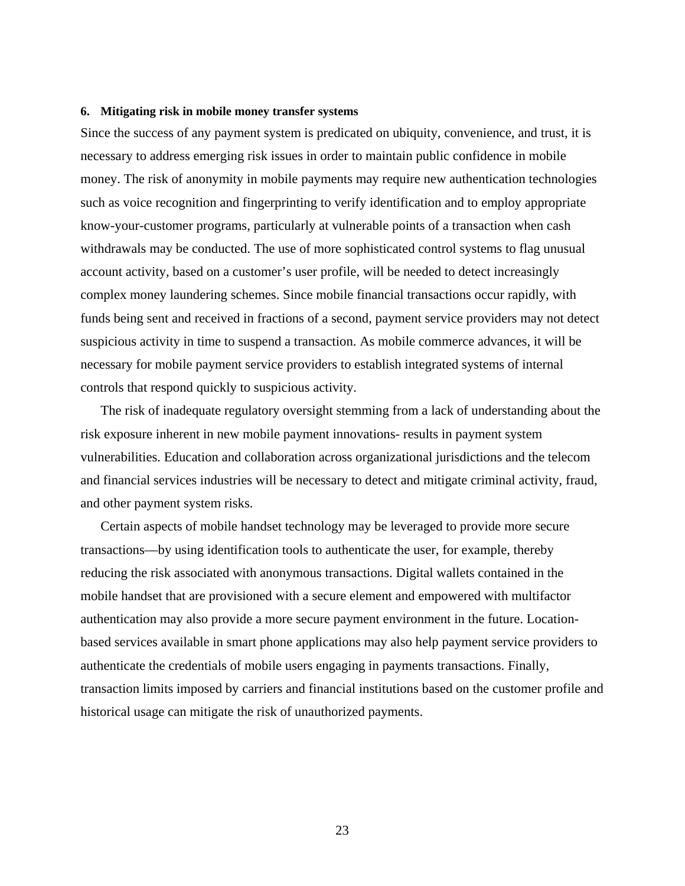## **6. Mitigating risk in mobile money transfer systems**

Since the success of any payment system is predicated on ubiquity, convenience, and trust, it is necessary to address emerging risk issues in order to maintain public confidence in mobile money. The risk of anonymity in mobile payments may require new authentication technologies such as voice recognition and fingerprinting to verify identification and to employ appropriate know-your-customer programs, particularly at vulnerable points of a transaction when cash withdrawals may be conducted. The use of more sophisticated control systems to flag unusual account activity, based on a customer's user profile, will be needed to detect increasingly complex money laundering schemes. Since mobile financial transactions occur rapidly, with funds being sent and received in fractions of a second, payment service providers may not detect suspicious activity in time to suspend a transaction. As mobile commerce advances, it will be necessary for mobile payment service providers to establish integrated systems of internal controls that respond quickly to suspicious activity.

The risk of inadequate regulatory oversight stemming from a lack of understanding about the risk exposure inherent in new mobile payment innovations- results in payment system vulnerabilities. Education and collaboration across organizational jurisdictions and the telecom and financial services industries will be necessary to detect and mitigate criminal activity, fraud, and other payment system risks.

Certain aspects of mobile handset technology may be leveraged to provide more secure transactions—by using identification tools to authenticate the user, for example, thereby reducing the risk associated with anonymous transactions. Digital wallets contained in the mobile handset that are provisioned with a secure element and empowered with multifactor authentication may also provide a more secure payment environment in the future. Locationbased services available in smart phone applications may also help payment service providers to authenticate the credentials of mobile users engaging in payments transactions. Finally, transaction limits imposed by carriers and financial institutions based on the customer profile and historical usage can mitigate the risk of unauthorized payments.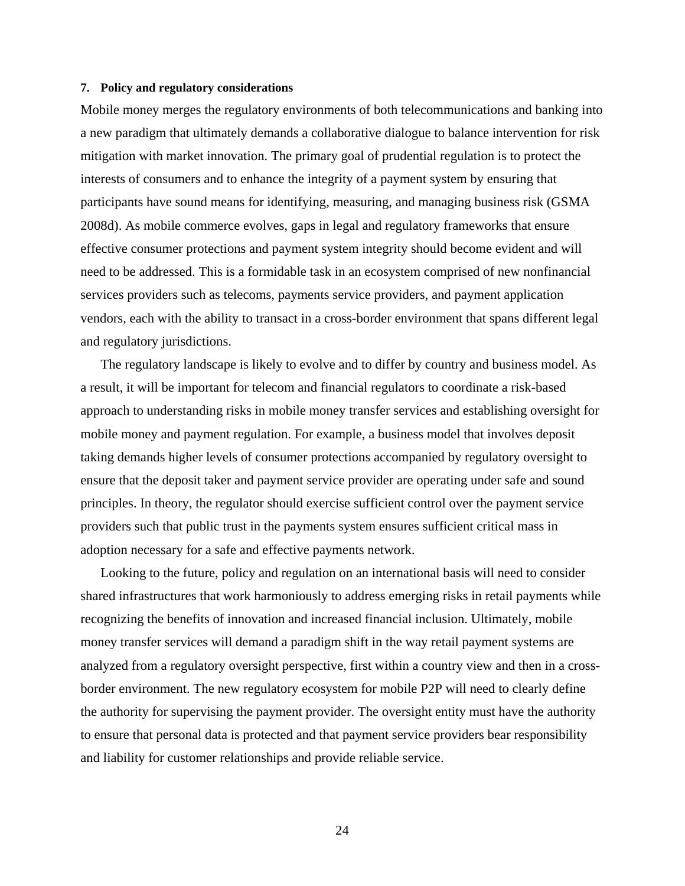### **7. Policy and regulatory considerations**

Mobile money merges the regulatory environments of both telecommunications and banking into a new paradigm that ultimately demands a collaborative dialogue to balance intervention for risk mitigation with market innovation. The primary goal of prudential regulation is to protect the interests of consumers and to enhance the integrity of a payment system by ensuring that participants have sound means for identifying, measuring, and managing business risk (GSMA 2008d). As mobile commerce evolves, gaps in legal and regulatory frameworks that ensure effective consumer protections and payment system integrity should become evident and will need to be addressed. This is a formidable task in an ecosystem comprised of new nonfinancial services providers such as telecoms, payments service providers, and payment application vendors, each with the ability to transact in a cross-border environment that spans different legal and regulatory jurisdictions.

The regulatory landscape is likely to evolve and to differ by country and business model. As a result, it will be important for telecom and financial regulators to coordinate a risk-based approach to understanding risks in mobile money transfer services and establishing oversight for mobile money and payment regulation. For example, a business model that involves deposit taking demands higher levels of consumer protections accompanied by regulatory oversight to ensure that the deposit taker and payment service provider are operating under safe and sound principles. In theory, the regulator should exercise sufficient control over the payment service providers such that public trust in the payments system ensures sufficient critical mass in adoption necessary for a safe and effective payments network.

Looking to the future, policy and regulation on an international basis will need to consider shared infrastructures that work harmoniously to address emerging risks in retail payments while recognizing the benefits of innovation and increased financial inclusion. Ultimately, mobile money transfer services will demand a paradigm shift in the way retail payment systems are analyzed from a regulatory oversight perspective, first within a country view and then in a crossborder environment. The new regulatory ecosystem for mobile P2P will need to clearly define the authority for supervising the payment provider. The oversight entity must have the authority to ensure that personal data is protected and that payment service providers bear responsibility and liability for customer relationships and provide reliable service.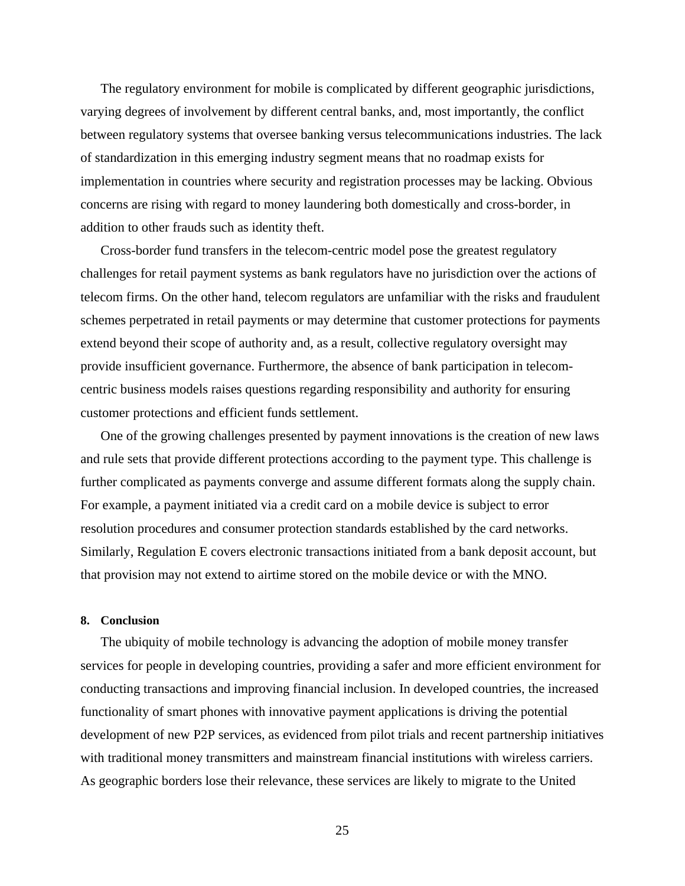The regulatory environment for mobile is complicated by different geographic jurisdictions, varying degrees of involvement by different central banks, and, most importantly, the conflict between regulatory systems that oversee banking versus telecommunications industries. The lack of standardization in this emerging industry segment means that no roadmap exists for implementation in countries where security and registration processes may be lacking. Obvious concerns are rising with regard to money laundering both domestically and cross-border, in addition to other frauds such as identity theft.

Cross-border fund transfers in the telecom-centric model pose the greatest regulatory challenges for retail payment systems as bank regulators have no jurisdiction over the actions of telecom firms. On the other hand, telecom regulators are unfamiliar with the risks and fraudulent schemes perpetrated in retail payments or may determine that customer protections for payments extend beyond their scope of authority and, as a result, collective regulatory oversight may provide insufficient governance. Furthermore, the absence of bank participation in telecomcentric business models raises questions regarding responsibility and authority for ensuring customer protections and efficient funds settlement.

One of the growing challenges presented by payment innovations is the creation of new laws and rule sets that provide different protections according to the payment type. This challenge is further complicated as payments converge and assume different formats along the supply chain. For example, a payment initiated via a credit card on a mobile device is subject to error resolution procedures and consumer protection standards established by the card networks. Similarly, Regulation E covers electronic transactions initiated from a bank deposit account, but that provision may not extend to airtime stored on the mobile device or with the MNO.

#### **8. Conclusion**

The ubiquity of mobile technology is advancing the adoption of mobile money transfer services for people in developing countries, providing a safer and more efficient environment for conducting transactions and improving financial inclusion. In developed countries, the increased functionality of smart phones with innovative payment applications is driving the potential development of new P2P services, as evidenced from pilot trials and recent partnership initiatives with traditional money transmitters and mainstream financial institutions with wireless carriers. As geographic borders lose their relevance, these services are likely to migrate to the United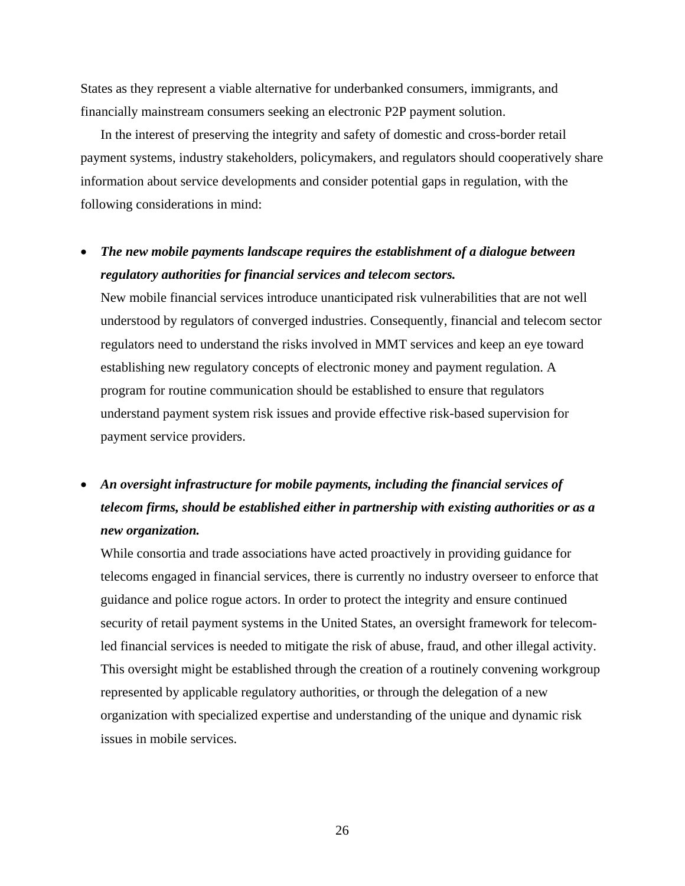States as they represent a viable alternative for underbanked consumers, immigrants, and financially mainstream consumers seeking an electronic P2P payment solution.

In the interest of preserving the integrity and safety of domestic and cross-border retail payment systems, industry stakeholders, policymakers, and regulators should cooperatively share information about service developments and consider potential gaps in regulation, with the following considerations in mind:

## • *The new mobile payments landscape requires the establishment of a dialogue between regulatory authorities for financial services and telecom sectors.*

New mobile financial services introduce unanticipated risk vulnerabilities that are not well understood by regulators of converged industries. Consequently, financial and telecom sector regulators need to understand the risks involved in MMT services and keep an eye toward establishing new regulatory concepts of electronic money and payment regulation. A program for routine communication should be established to ensure that regulators understand payment system risk issues and provide effective risk-based supervision for payment service providers.

## • *An oversight infrastructure for mobile payments, including the financial services of telecom firms, should be established either in partnership with existing authorities or as a new organization.*

While consortia and trade associations have acted proactively in providing guidance for telecoms engaged in financial services, there is currently no industry overseer to enforce that guidance and police rogue actors. In order to protect the integrity and ensure continued security of retail payment systems in the United States, an oversight framework for telecomled financial services is needed to mitigate the risk of abuse, fraud, and other illegal activity. This oversight might be established through the creation of a routinely convening workgroup represented by applicable regulatory authorities, or through the delegation of a new organization with specialized expertise and understanding of the unique and dynamic risk issues in mobile services.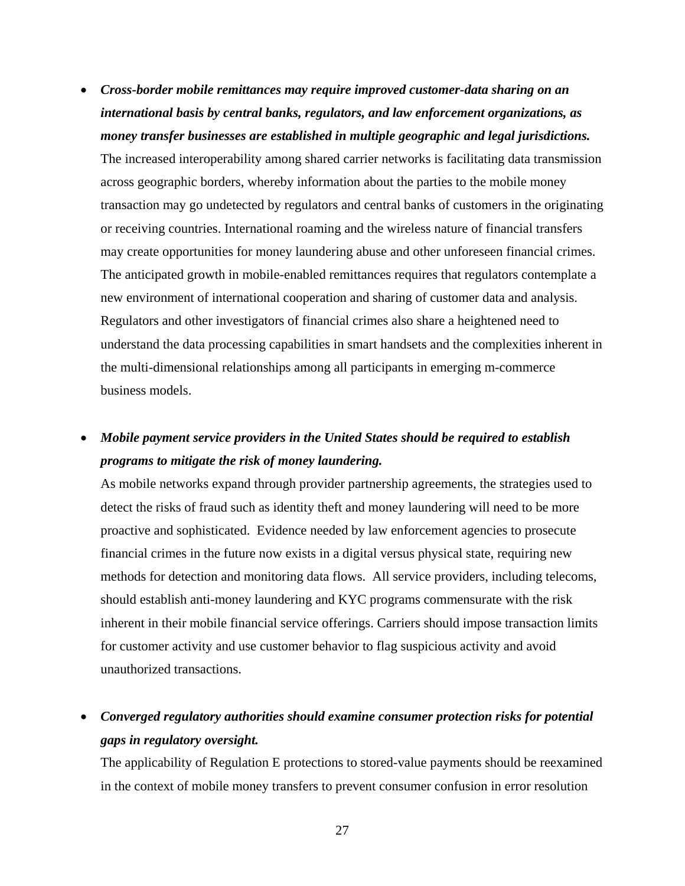- *Cross-border mobile remittances may require improved customer-data sharing on an international basis by central banks, regulators, and law enforcement organizations, as money transfer businesses are established in multiple geographic and legal jurisdictions.*  The increased interoperability among shared carrier networks is facilitating data transmission across geographic borders, whereby information about the parties to the mobile money transaction may go undetected by regulators and central banks of customers in the originating or receiving countries. International roaming and the wireless nature of financial transfers may create opportunities for money laundering abuse and other unforeseen financial crimes. The anticipated growth in mobile-enabled remittances requires that regulators contemplate a new environment of international cooperation and sharing of customer data and analysis. Regulators and other investigators of financial crimes also share a heightened need to understand the data processing capabilities in smart handsets and the complexities inherent in the multi-dimensional relationships among all participants in emerging m-commerce business models.
- *Mobile payment service providers in the United States should be required to establish programs to mitigate the risk of money laundering.*

As mobile networks expand through provider partnership agreements, the strategies used to detect the risks of fraud such as identity theft and money laundering will need to be more proactive and sophisticated. Evidence needed by law enforcement agencies to prosecute financial crimes in the future now exists in a digital versus physical state, requiring new methods for detection and monitoring data flows. All service providers, including telecoms, should establish anti-money laundering and KYC programs commensurate with the risk inherent in their mobile financial service offerings. Carriers should impose transaction limits for customer activity and use customer behavior to flag suspicious activity and avoid unauthorized transactions.

• *Converged regulatory authorities should examine consumer protection risks for potential gaps in regulatory oversight.* 

The applicability of Regulation E protections to stored-value payments should be reexamined in the context of mobile money transfers to prevent consumer confusion in error resolution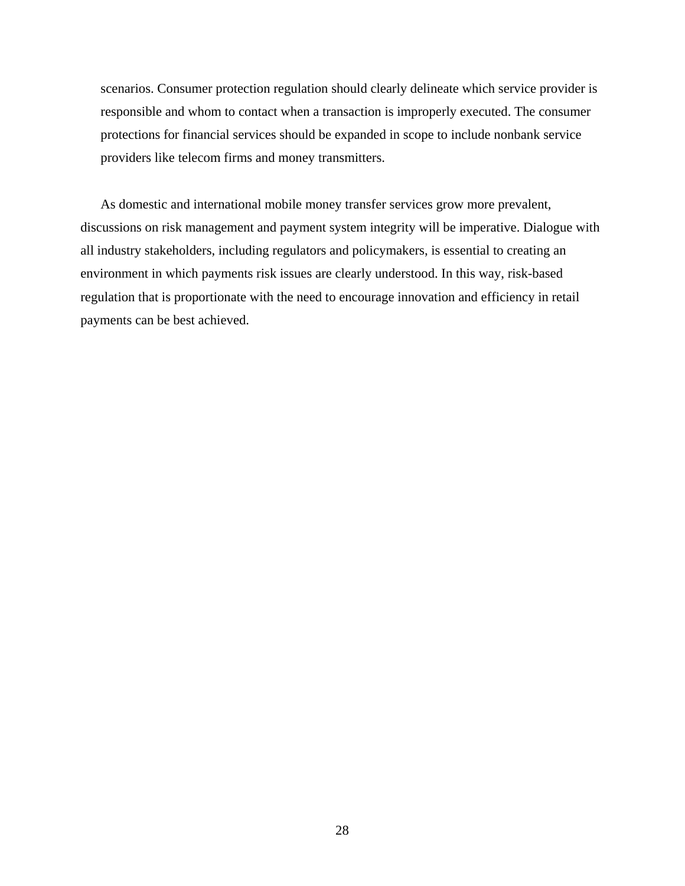scenarios. Consumer protection regulation should clearly delineate which service provider is responsible and whom to contact when a transaction is improperly executed. The consumer protections for financial services should be expanded in scope to include nonbank service providers like telecom firms and money transmitters.

As domestic and international mobile money transfer services grow more prevalent, discussions on risk management and payment system integrity will be imperative. Dialogue with all industry stakeholders, including regulators and policymakers, is essential to creating an environment in which payments risk issues are clearly understood. In this way, risk-based regulation that is proportionate with the need to encourage innovation and efficiency in retail payments can be best achieved.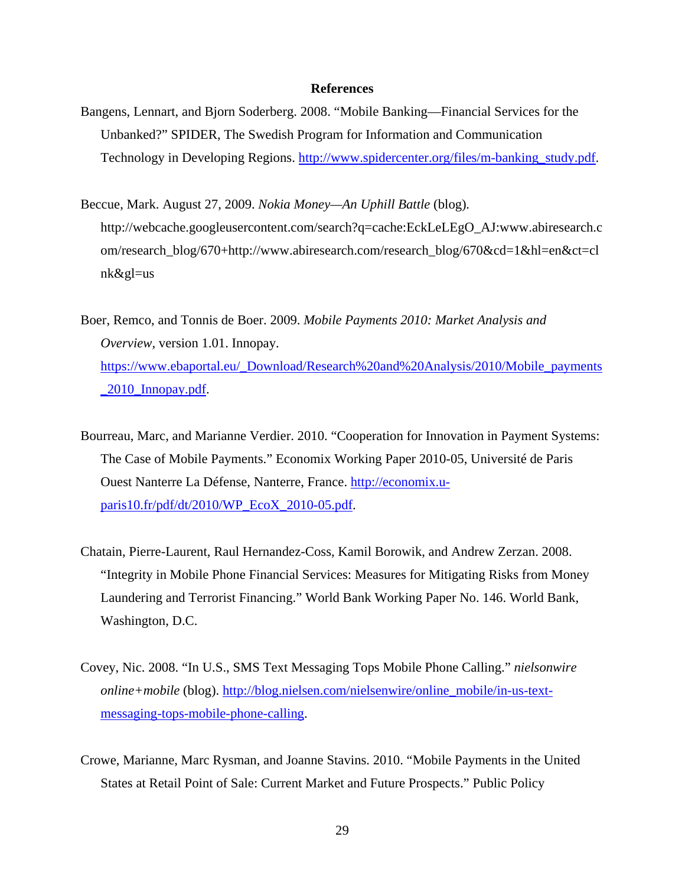#### **References**

- Bangens, Lennart, and Bjorn Soderberg. 2008. "Mobile Banking—Financial Services for the Unbanked?" SPIDER, The Swedish Program for Information and Communication Technology in Developing Regions. [http://www.spidercenter.org/files/m-banking\\_study.pdf.](http://www.spidercenter.org/files/m-banking_study.pdf)
- Beccue, Mark. August 27, 2009. *Nokia Money—An Uphill Battle* (blog)*.*  http://webcache.googleusercontent.com/search?q=cache:EckLeLEgO\_AJ:www.abiresearch.c om/research\_blog/670+http://www.abiresearch.com/research\_blog/670&cd=1&hl=en&ct=cl nk&gl=us
- Boer, Remco, and Tonnis de Boer. 2009. *Mobile Payments 2010: Market Analysis and Overview,* version 1.01. Innopay. [https://www.ebaportal.eu/\\_Download/Research%20and%20Analysis/2010/Mobile\\_payments](https://www.ebaportal.eu/_Download/Research%20and%20Analysis/2010/Mobile_payments_2010_Innopay.pdf) [\\_2010\\_Innopay.pdf](https://www.ebaportal.eu/_Download/Research%20and%20Analysis/2010/Mobile_payments_2010_Innopay.pdf).
- Bourreau, Marc, and Marianne Verdier. 2010. "Cooperation for Innovation in Payment Systems: The Case of Mobile Payments." Economix Working Paper 2010-05, Université de Paris Ouest Nanterre La Défense, Nanterre, France. [http://economix.u](http://economix.u-paris10.fr/pdf/dt/2010/WP_EcoX_2010-05.pdf)[paris10.fr/pdf/dt/2010/WP\\_EcoX\\_2010-05.pdf](http://economix.u-paris10.fr/pdf/dt/2010/WP_EcoX_2010-05.pdf).
- Chatain, Pierre-Laurent, Raul Hernandez-Coss, Kamil Borowik, and Andrew Zerzan. 2008. "Integrity in Mobile Phone Financial Services: Measures for Mitigating Risks from Money Laundering and Terrorist Financing." World Bank Working Paper No. 146. World Bank, Washington, D.C.
- Covey, Nic. 2008. "In U.S., SMS Text Messaging Tops Mobile Phone Calling." *nielsonwire online+mobile* (blog). [http://blog.nielsen.com/nielsenwire/online\\_mobile/in-us-text](http://blog.nielsen.com/nielsenwire/online_mobile/in-us-text-messaging-tops-mobile-phone-calling)[messaging-tops-mobile-phone-calling.](http://blog.nielsen.com/nielsenwire/online_mobile/in-us-text-messaging-tops-mobile-phone-calling)
- Crowe, Marianne, Marc Rysman, and Joanne Stavins. 2010. "Mobile Payments in the United States at Retail Point of Sale: Current Market and Future Prospects." Public Policy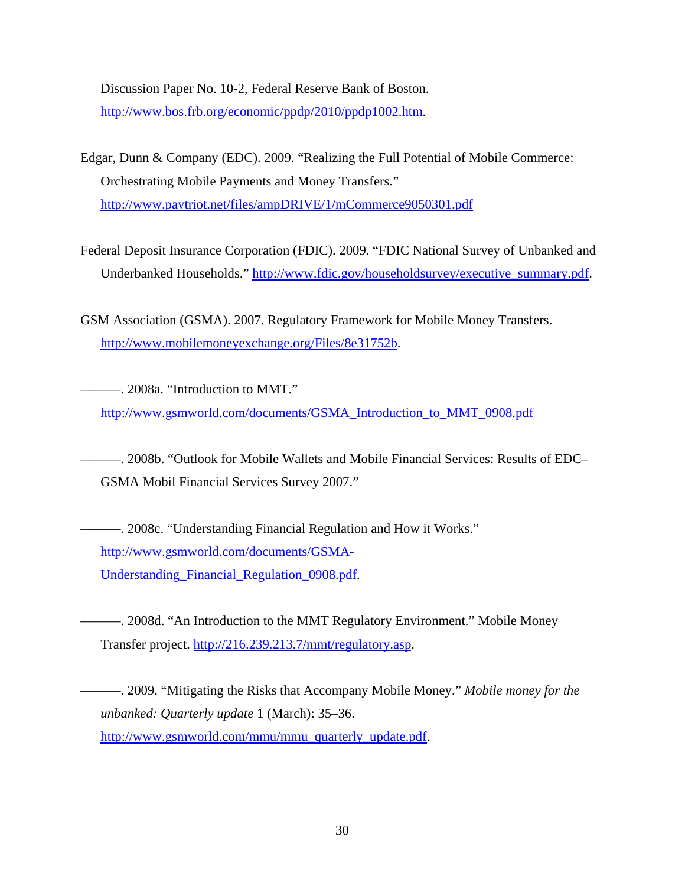Discussion Paper No. 10-2, Federal Reserve Bank of Boston. [http://www.bos.frb.org/economic/ppdp/2010/ppdp1002.htm.](http://www.bos.frb.org/economic/ppdp/2010/ppdp1002.htm)

- Edgar, Dunn & Company (EDC). 2009. "Realizing the Full Potential of Mobile Commerce: Orchestrating Mobile Payments and Money Transfers." <http://www.paytriot.net/files/ampDRIVE/1/mCommerce9050301.pdf>
- Federal Deposit Insurance Corporation (FDIC). 2009. "FDIC National Survey of Unbanked and Underbanked Households." [http://www.fdic.gov/householdsurvey/executive\\_summary.pdf.](http://www.fdic.gov/householdsurvey/executive_summary.pdf)
- GSM Association (GSMA). 2007. Regulatory Framework for Mobile Money Transfers. <http://www.mobilemoneyexchange.org/Files/8e31752b>.

———. 2008a. "Introduction to MMT." [http://www.gsmworld.com/documents/GSMA\\_Introduction\\_to\\_MMT\\_0908.pdf](http://www.gsmworld.com/documents/GSMA_Introduction_to_MMT_0908.pdf)

———. 2008b. "Outlook for Mobile Wallets and Mobile Financial Services: Results of EDC– GSMA Mobil Financial Services Survey 2007."

———. 2008c. "Understanding Financial Regulation and How it Works." [http://www.gsmworld.com/documents/GSMA-](http://www.gsmworld.com/documents/GSMA-Understanding_Financial_Regulation_0908.pdf)[Understanding\\_Financial\\_Regulation\\_0908.pdf.](http://www.gsmworld.com/documents/GSMA-Understanding_Financial_Regulation_0908.pdf)

———. 2008d. "An Introduction to the MMT Regulatory Environment." Mobile Money Transfer project. [http://216.239.213.7/mmt/regulatory.asp.](http://216.239.213.7/mmt/regulatory.asp)

———. 2009. "Mitigating the Risks that Accompany Mobile Money." *Mobile money for the unbanked: Quarterly update* 1 (March): 35–36. [http://www.gsmworld.com/mmu/mmu\\_quarterly\\_update.pdf.](http://www.gsmworld.com/mmu/mmu_quarterly_update.pdf)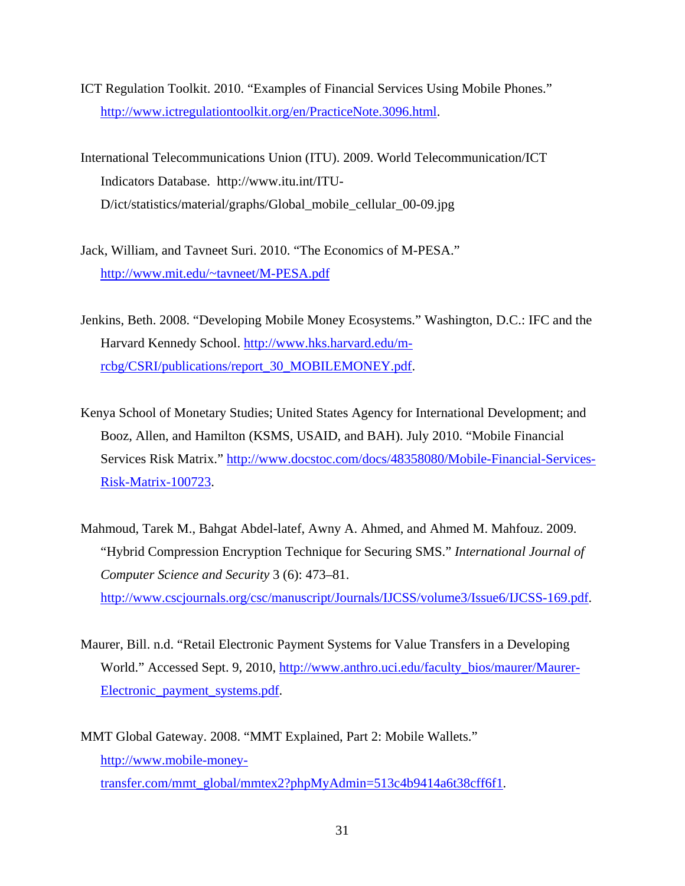- ICT Regulation Toolkit. 2010. "Examples of Financial Services Using Mobile Phones." [http://www.ictregulationtoolkit.org/en/PracticeNote.3096.html.](http://www.ictregulationtoolkit.org/en/PracticeNote.3096.html)
- International Telecommunications Union (ITU). 2009. World Telecommunication/ICT Indicators Database. http://www.itu.int/ITU-D/ict/statistics/material/graphs/Global\_mobile\_cellular\_00-09.jpg
- Jack, William, and Tavneet Suri. 2010. "The Economics of M-PESA." [http://www.mit.edu/~tavneet/M-PESA.pdf](http://www.mit.edu/%7Etavneet/M-PESA.pdf)
- Jenkins, Beth. 2008. "Developing Mobile Money Ecosystems." Washington, D.C.: IFC and the Harvard Kennedy School. [http://www.hks.harvard.edu/m](http://www.hks.harvard.edu/m-rcbg/CSRI/publications/report_30_MOBILEMONEY.pdf)[rcbg/CSRI/publications/report\\_30\\_MOBILEMONEY.pdf](http://www.hks.harvard.edu/m-rcbg/CSRI/publications/report_30_MOBILEMONEY.pdf).
- Kenya School of Monetary Studies; United States Agency for International Development; and Booz, Allen, and Hamilton (KSMS, USAID, and BAH). July 2010. "Mobile Financial Services Risk Matrix." [http://www.docstoc.com/docs/48358080/Mobile-Financial-Services-](http://www.docstoc.com/docs/48358080/Mobile-Financial-Services-Risk-Matrix-100723)[Risk-Matrix-100723.](http://www.docstoc.com/docs/48358080/Mobile-Financial-Services-Risk-Matrix-100723)
- Mahmoud, Tarek M., Bahgat Abdel-latef, Awny A. Ahmed, and Ahmed M. Mahfouz. 2009. "Hybrid Compression Encryption Technique for Securing SMS." *International Journal of Computer Science and Security* 3 (6): 473–81. <http://www.cscjournals.org/csc/manuscript/Journals/IJCSS/volume3/Issue6/IJCSS-169.pdf>.
- Maurer, Bill. n.d. "Retail Electronic Payment Systems for Value Transfers in a Developing World." Accessed Sept. 9, 2010, [http://www.anthro.uci.edu/faculty\\_bios/maurer/Maurer-](http://www.anthro.uci.edu/faculty_bios/maurer/Maurer-Electronic_payment_systems.pdf)Electronic payment systems.pdf.
- MMT Global Gateway. 2008. "MMT Explained, Part 2: Mobile Wallets." [http://www.mobile-money](http://www.mobile-money-transfer.com/mmt_global/mmtex2?phpMyAdmin=513c4b9414a6t38cff6f1)[transfer.com/mmt\\_global/mmtex2?phpMyAdmin=513c4b9414a6t38cff6f1.](http://www.mobile-money-transfer.com/mmt_global/mmtex2?phpMyAdmin=513c4b9414a6t38cff6f1)